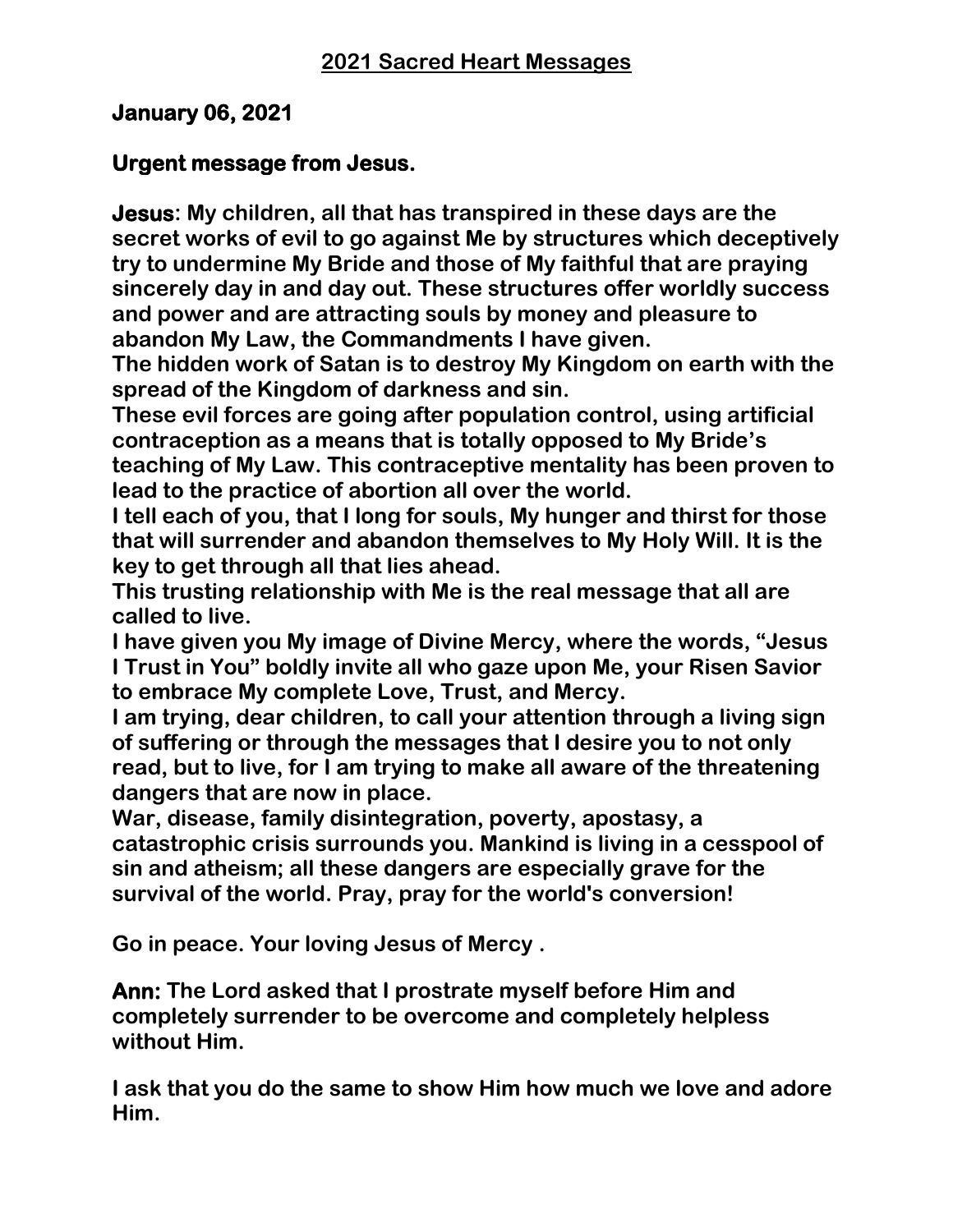## **January 06, 2021**

### **Urgent message from Jesus.**

**Jesus: My children, all that has transpired in these days are the secret works of evil to go against Me by structures which deceptively try to undermine My Bride and those of My faithful that are praying sincerely day in and day out. These structures offer worldly success and power and are attracting souls by money and pleasure to abandon My Law, the Commandments I have given.** 

**The hidden work of Satan is to destroy My Kingdom on earth with the spread of the Kingdom of darkness and sin.** 

**These evil forces are going after population control, using artificial contraception as a means that is totally opposed to My Bride's teaching of My Law. This contraceptive mentality has been proven to lead to the practice of abortion all over the world.** 

**I tell each of you, that I long for souls, My hunger and thirst for those that will surrender and abandon themselves to My Holy Will. It is the key to get through all that lies ahead.** 

**This trusting relationship with Me is the real message that all are called to live.** 

**I have given you My image of Divine Mercy, where the words, "Jesus I Trust in You" boldly invite all who gaze upon Me, your Risen Savior to embrace My complete Love, Trust, and Mercy.** 

**I am trying, dear children, to call your attention through a living sign of suffering or through the messages that I desire you to not only read, but to live, for I am trying to make all aware of the threatening dangers that are now in place.** 

**War, disease, family disintegration, poverty, apostasy, a catastrophic crisis surrounds you. Mankind is living in a cesspool of sin and atheism; all these dangers are especially grave for the survival of the world. Pray, pray for the world's conversion!** 

**Go in peace. Your loving Jesus of Mercy .**

**Ann: The Lord asked that I prostrate myself before Him and completely surrender to be overcome and completely helpless without Him.** 

**I ask that you do the same to show Him how much we love and adore Him.**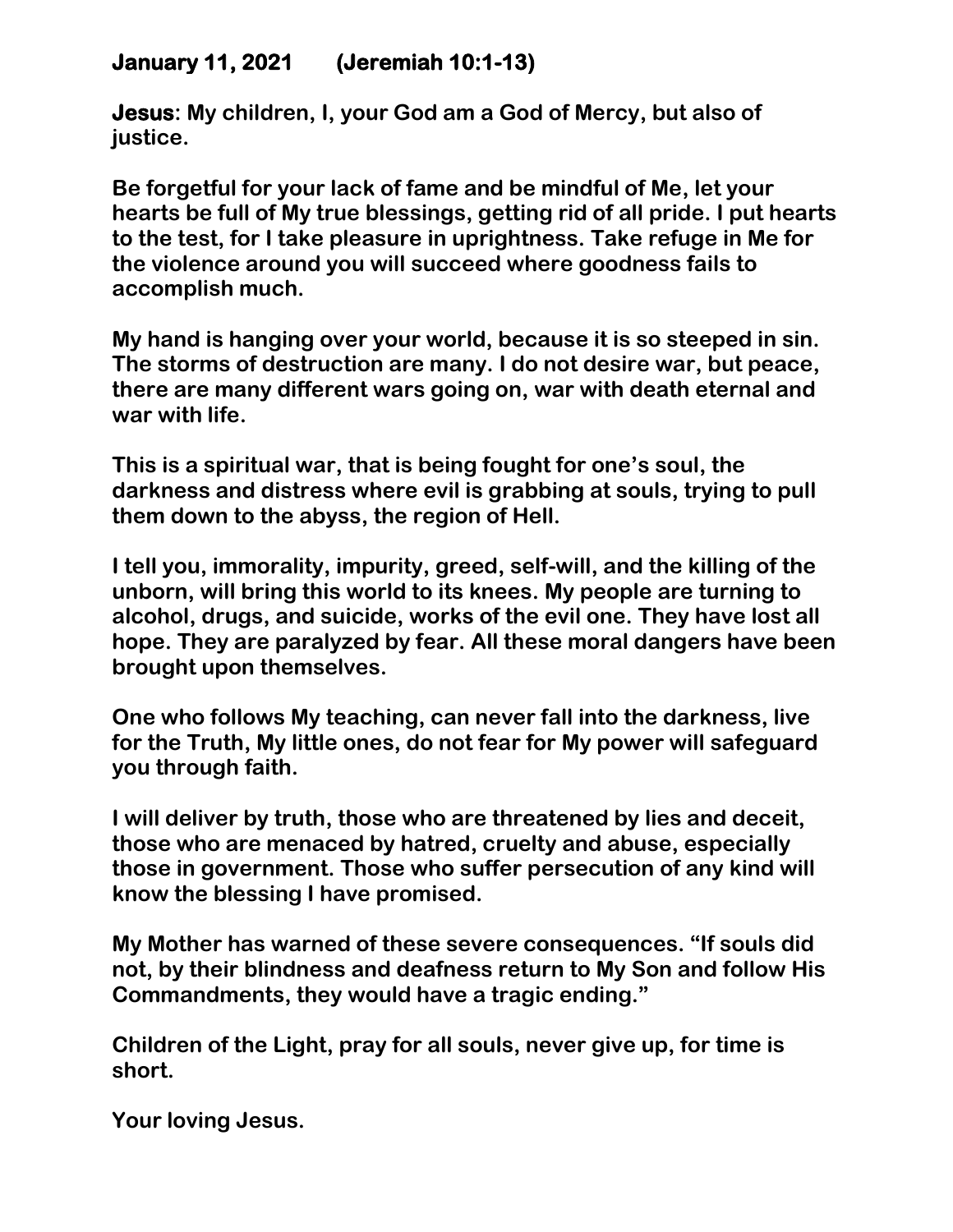## **January 11, 2021 (Jeremiah 10:1-13)**

**Jesus: My children, I, your God am a God of Mercy, but also of justice.**

**Be forgetful for your lack of fame and be mindful of Me, let your hearts be full of My true blessings, getting rid of all pride. I put hearts to the test, for I take pleasure in uprightness. Take refuge in Me for the violence around you will succeed where goodness fails to accomplish much.**

**My hand is hanging over your world, because it is so steeped in sin. The storms of destruction are many. I do not desire war, but peace, there are many different wars going on, war with death eternal and war with life.** 

**This is a spiritual war, that is being fought for one's soul, the darkness and distress where evil is grabbing at souls, trying to pull them down to the abyss, the region of Hell.**

**I tell you, immorality, impurity, greed, self-will, and the killing of the unborn, will bring this world to its knees. My people are turning to alcohol, drugs, and suicide, works of the evil one. They have lost all hope. They are paralyzed by fear. All these moral dangers have been brought upon themselves.**

**One who follows My teaching, can never fall into the darkness, live for the Truth, My little ones, do not fear for My power will safeguard you through faith.** 

**I will deliver by truth, those who are threatened by lies and deceit, those who are menaced by hatred, cruelty and abuse, especially those in government. Those who suffer persecution of any kind will know the blessing I have promised.**

**My Mother has warned of these severe consequences. "If souls did not, by their blindness and deafness return to My Son and follow His Commandments, they would have a tragic ending."**

**Children of the Light, pray for all souls, never give up, for time is short.**

**Your loving Jesus.**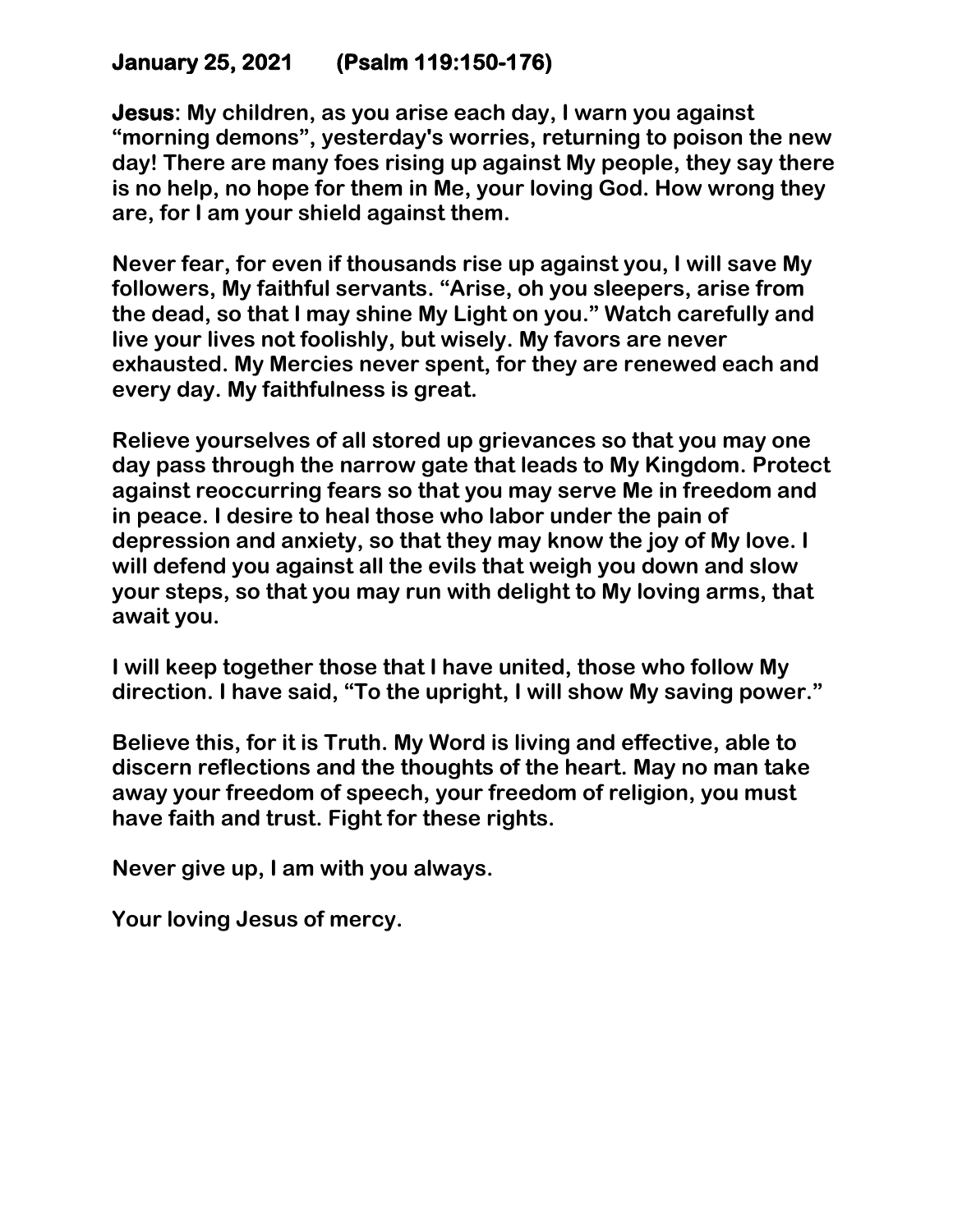# **January 25, 2021 (Psalm 119:150-176)**

**Jesus: My children, as you arise each day, I warn you against "morning demons", yesterday's worries, returning to poison the new day! There are many foes rising up against My people, they say there is no help, no hope for them in Me, your loving God. How wrong they are, for I am your shield against them.**

**Never fear, for even if thousands rise up against you, I will save My followers, My faithful servants. "Arise, oh you sleepers, arise from the dead, so that I may shine My Light on you." Watch carefully and live your lives not foolishly, but wisely. My favors are never exhausted. My Mercies never spent, for they are renewed each and every day. My faithfulness is great.** 

**Relieve yourselves of all stored up grievances so that you may one day pass through the narrow gate that leads to My Kingdom. Protect against reoccurring fears so that you may serve Me in freedom and in peace. I desire to heal those who labor under the pain of depression and anxiety, so that they may know the joy of My love. I will defend you against all the evils that weigh you down and slow your steps, so that you may run with delight to My loving arms, that await you.** 

**I will keep together those that I have united, those who follow My direction. I have said, "To the upright, I will show My saving power."** 

**Believe this, for it is Truth. My Word is living and effective, able to discern reflections and the thoughts of the heart. May no man take away your freedom of speech, your freedom of religion, you must have faith and trust. Fight for these rights.** 

**Never give up, I am with you always.**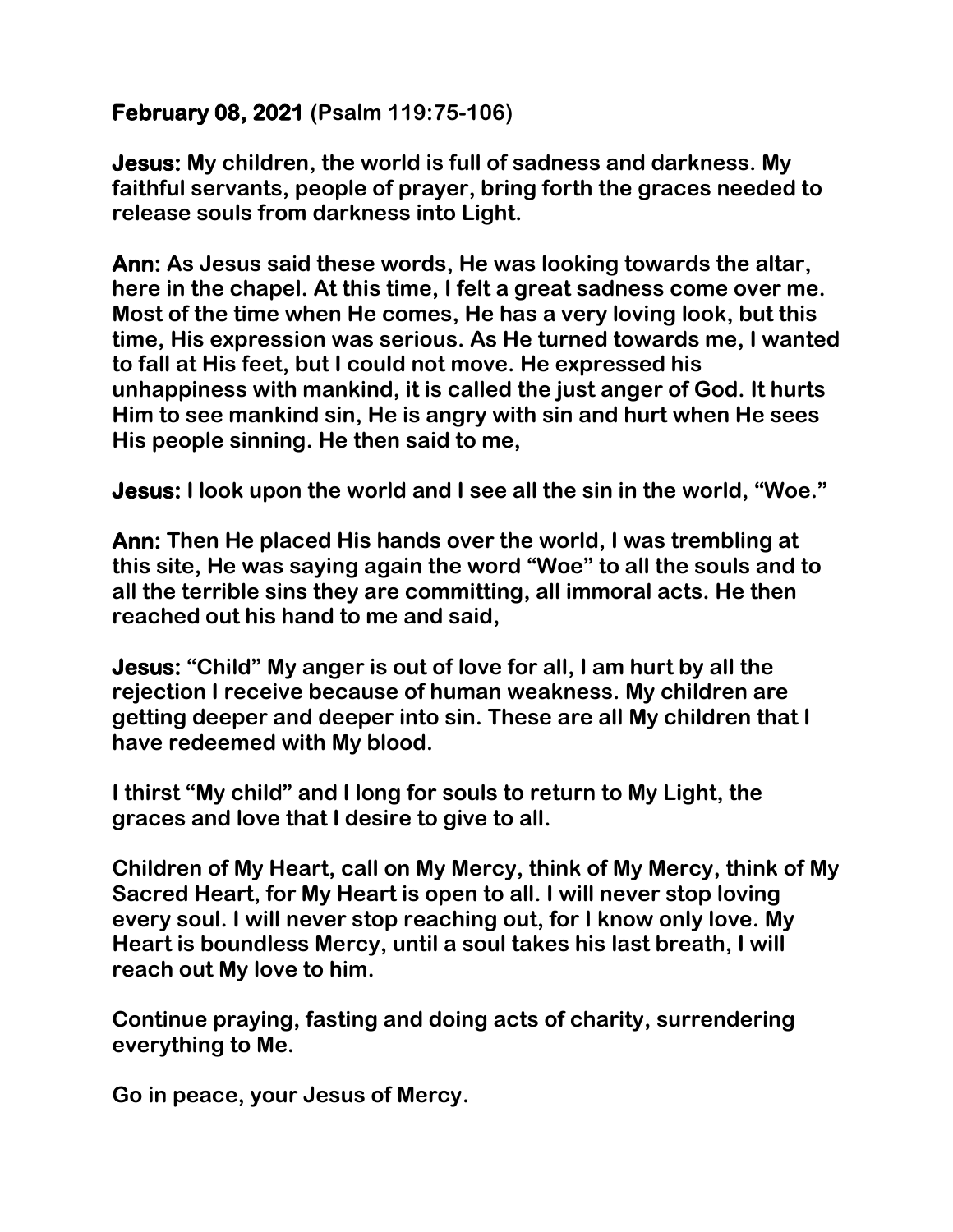## **February 08, 2021 (Psalm 119:75-106)**

**Jesus: My children, the world is full of sadness and darkness. My faithful servants, people of prayer, bring forth the graces needed to release souls from darkness into Light.** 

**Ann: As Jesus said these words, He was looking towards the altar, here in the chapel. At this time, I felt a great sadness come over me. Most of the time when He comes, He has a very loving look, but this time, His expression was serious. As He turned towards me, I wanted to fall at His feet, but I could not move. He expressed his unhappiness with mankind, it is called the just anger of God. It hurts Him to see mankind sin, He is angry with sin and hurt when He sees His people sinning. He then said to me,** 

**Jesus: I look upon the world and I see all the sin in the world, "Woe."** 

**Ann: Then He placed His hands over the world, I was trembling at this site, He was saying again the word "Woe" to all the souls and to all the terrible sins they are committing, all immoral acts. He then reached out his hand to me and said,** 

**Jesus: "Child" My anger is out of love for all, I am hurt by all the rejection I receive because of human weakness. My children are getting deeper and deeper into sin. These are all My children that I have redeemed with My blood.**

**I thirst "My child" and I long for souls to return to My Light, the graces and love that I desire to give to all.** 

**Children of My Heart, call on My Mercy, think of My Mercy, think of My Sacred Heart, for My Heart is open to all. I will never stop loving every soul. I will never stop reaching out, for I know only love. My Heart is boundless Mercy, until a soul takes his last breath, I will reach out My love to him.** 

**Continue praying, fasting and doing acts of charity, surrendering everything to Me.** 

**Go in peace, your Jesus of Mercy.**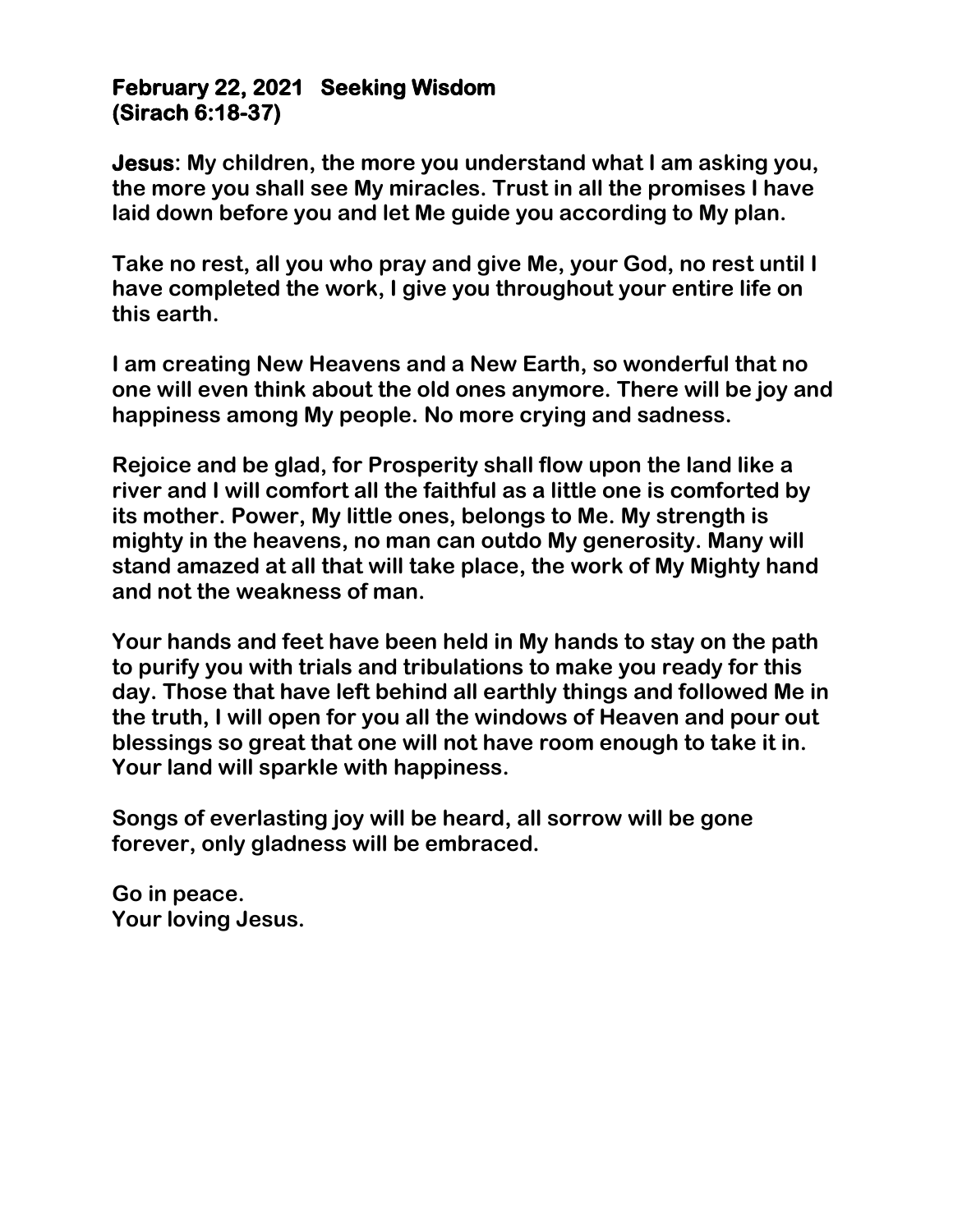#### **February 22, 2021 Seeking Wisdom (Sirach 6:18-37)**

**Jesus: My children, the more you understand what I am asking you, the more you shall see My miracles. Trust in all the promises I have laid down before you and let Me guide you according to My plan.** 

**Take no rest, all you who pray and give Me, your God, no rest until I have completed the work, I give you throughout your entire life on this earth.** 

**I am creating New Heavens and a New Earth, so wonderful that no one will even think about the old ones anymore. There will be joy and happiness among My people. No more crying and sadness.**

**Rejoice and be glad, for Prosperity shall flow upon the land like a river and I will comfort all the faithful as a little one is comforted by its mother. Power, My little ones, belongs to Me. My strength is mighty in the heavens, no man can outdo My generosity. Many will stand amazed at all that will take place, the work of My Mighty hand and not the weakness of man.** 

**Your hands and feet have been held in My hands to stay on the path to purify you with trials and tribulations to make you ready for this day. Those that have left behind all earthly things and followed Me in the truth, I will open for you all the windows of Heaven and pour out blessings so great that one will not have room enough to take it in. Your land will sparkle with happiness.** 

**Songs of everlasting joy will be heard, all sorrow will be gone forever, only gladness will be embraced.** 

**Go in peace. Your loving Jesus.**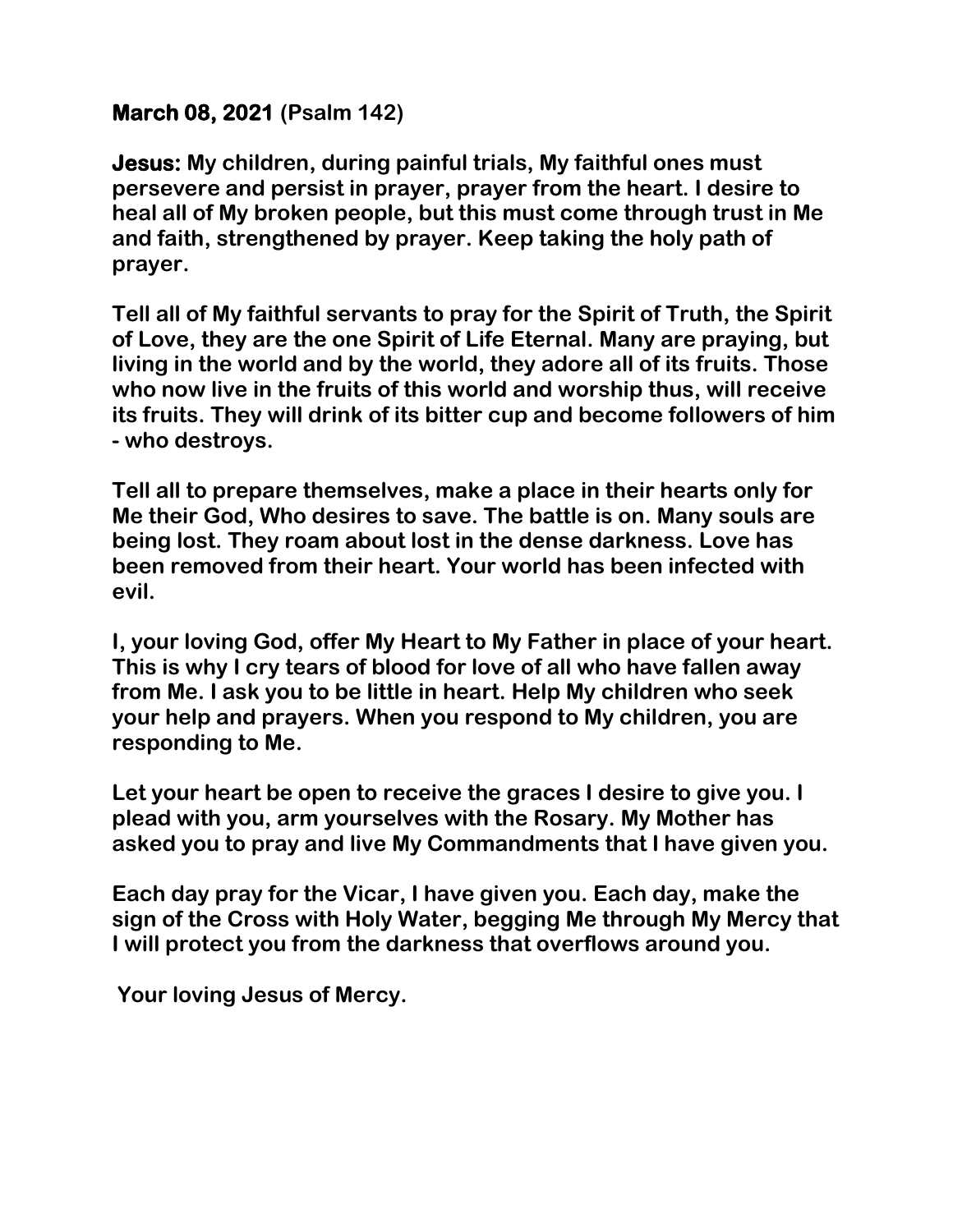## **March 08, 2021 (Psalm 142)**

**Jesus: My children, during painful trials, My faithful ones must persevere and persist in prayer, prayer from the heart. I desire to heal all of My broken people, but this must come through trust in Me and faith, strengthened by prayer. Keep taking the holy path of prayer.**

**Tell all of My faithful servants to pray for the Spirit of Truth, the Spirit of Love, they are the one Spirit of Life Eternal. Many are praying, but living in the world and by the world, they adore all of its fruits. Those who now live in the fruits of this world and worship thus, will receive its fruits. They will drink of its bitter cup and become followers of him - who destroys.** 

**Tell all to prepare themselves, make a place in their hearts only for Me their God, Who desires to save. The battle is on. Many souls are being lost. They roam about lost in the dense darkness. Love has been removed from their heart. Your world has been infected with evil.** 

**I, your loving God, offer My Heart to My Father in place of your heart. This is why I cry tears of blood for love of all who have fallen away from Me. I ask you to be little in heart. Help My children who seek your help and prayers. When you respond to My children, you are responding to Me.** 

**Let your heart be open to receive the graces I desire to give you. I plead with you, arm yourselves with the Rosary. My Mother has asked you to pray and live My Commandments that I have given you.** 

**Each day pray for the Vicar, I have given you. Each day, make the sign of the Cross with Holy Water, begging Me through My Mercy that I will protect you from the darkness that overflows around you.**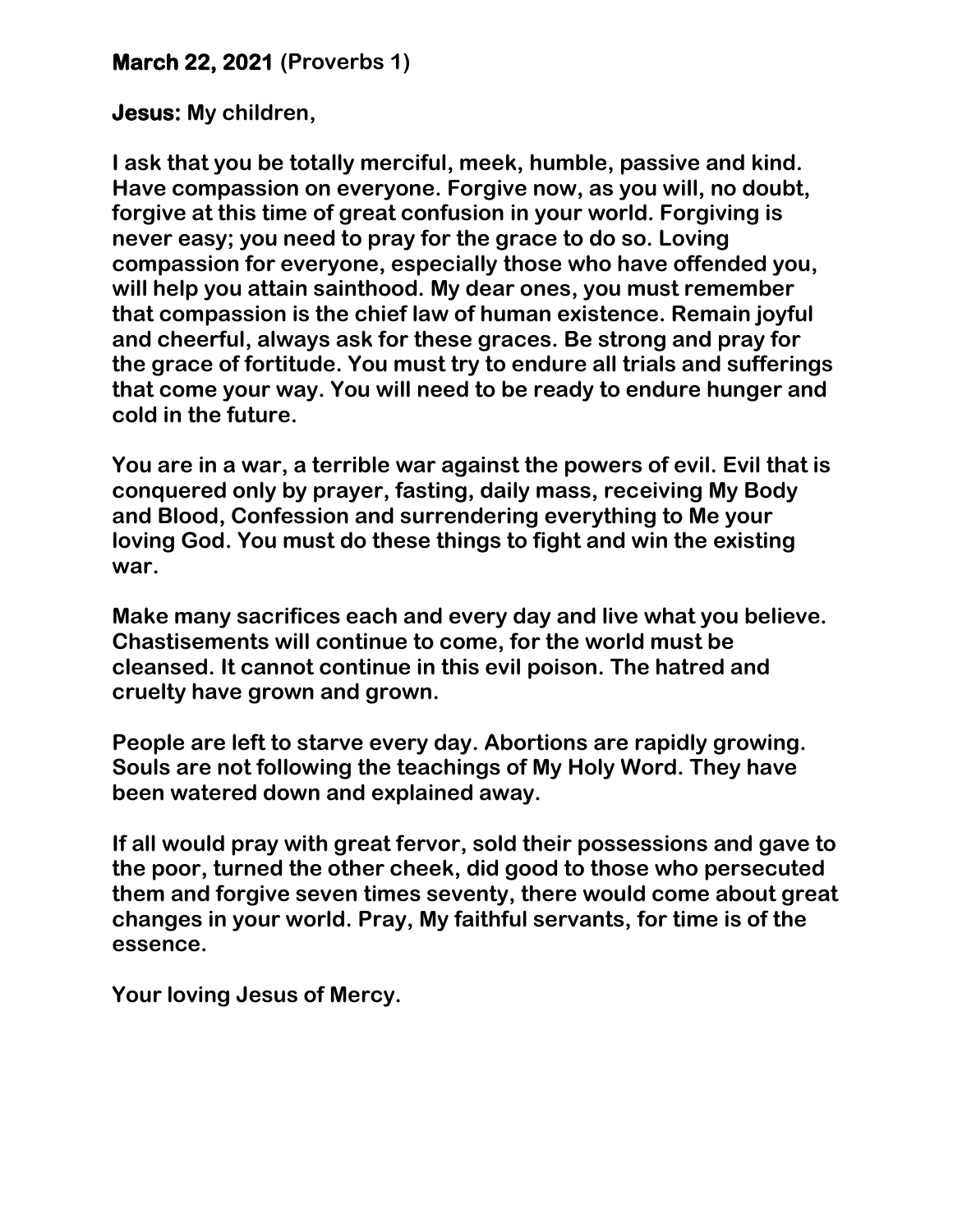### **March 22, 2021 (Proverbs 1)**

#### **Jesus: My children,**

**I ask that you be totally merciful, meek, humble, passive and kind. Have compassion on everyone. Forgive now, as you will, no doubt, forgive at this time of great confusion in your world. Forgiving is never easy; you need to pray for the grace to do so. Loving compassion for everyone, especially those who have offended you, will help you attain sainthood. My dear ones, you must remember that compassion is the chief law of human existence. Remain joyful and cheerful, always ask for these graces. Be strong and pray for the grace of fortitude. You must try to endure all trials and sufferings that come your way. You will need to be ready to endure hunger and cold in the future.** 

**You are in a war, a terrible war against the powers of evil. Evil that is conquered only by prayer, fasting, daily mass, receiving My Body and Blood, Confession and surrendering everything to Me your loving God. You must do these things to fight and win the existing war.** 

**Make many sacrifices each and every day and live what you believe. Chastisements will continue to come, for the world must be cleansed. It cannot continue in this evil poison. The hatred and cruelty have grown and grown.**

**People are left to starve every day. Abortions are rapidly growing. Souls are not following the teachings of My Holy Word. They have been watered down and explained away.** 

**If all would pray with great fervor, sold their possessions and gave to the poor, turned the other cheek, did good to those who persecuted them and forgive seven times seventy, there would come about great changes in your world. Pray, My faithful servants, for time is of the essence.**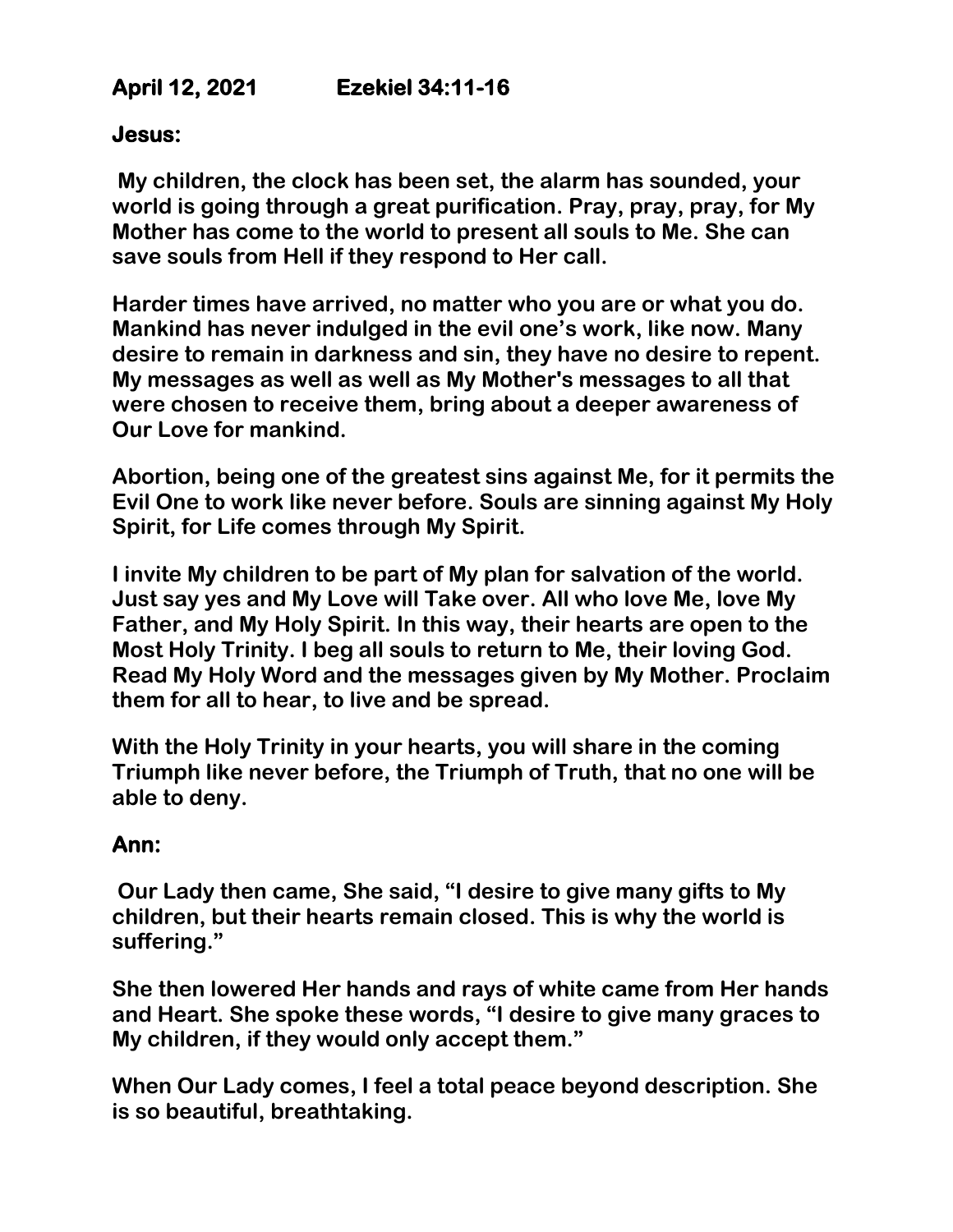# **April 12, 2021 Ezekiel 34:11-16**

#### **Jesus:**

**My children, the clock has been set, the alarm has sounded, your world is going through a great purification. Pray, pray, pray, for My Mother has come to the world to present all souls to Me. She can save souls from Hell if they respond to Her call.** 

**Harder times have arrived, no matter who you are or what you do. Mankind has never indulged in the evil one's work, like now. Many desire to remain in darkness and sin, they have no desire to repent. My messages as well as well as My Mother's messages to all that were chosen to receive them, bring about a deeper awareness of Our Love for mankind.** 

**Abortion, being one of the greatest sins against Me, for it permits the Evil One to work like never before. Souls are sinning against My Holy Spirit, for Life comes through My Spirit.** 

**I invite My children to be part of My plan for salvation of the world. Just say yes and My Love will Take over. All who love Me, love My Father, and My Holy Spirit. In this way, their hearts are open to the Most Holy Trinity. I beg all souls to return to Me, their loving God. Read My Holy Word and the messages given by My Mother. Proclaim them for all to hear, to live and be spread.** 

**With the Holy Trinity in your hearts, you will share in the coming Triumph like never before, the Triumph of Truth, that no one will be able to deny.** 

#### **Ann:**

**Our Lady then came, She said, "I desire to give many gifts to My children, but their hearts remain closed. This is why the world is suffering."**

**She then lowered Her hands and rays of white came from Her hands and Heart. She spoke these words, "I desire to give many graces to My children, if they would only accept them."** 

**When Our Lady comes, I feel a total peace beyond description. She is so beautiful, breathtaking.**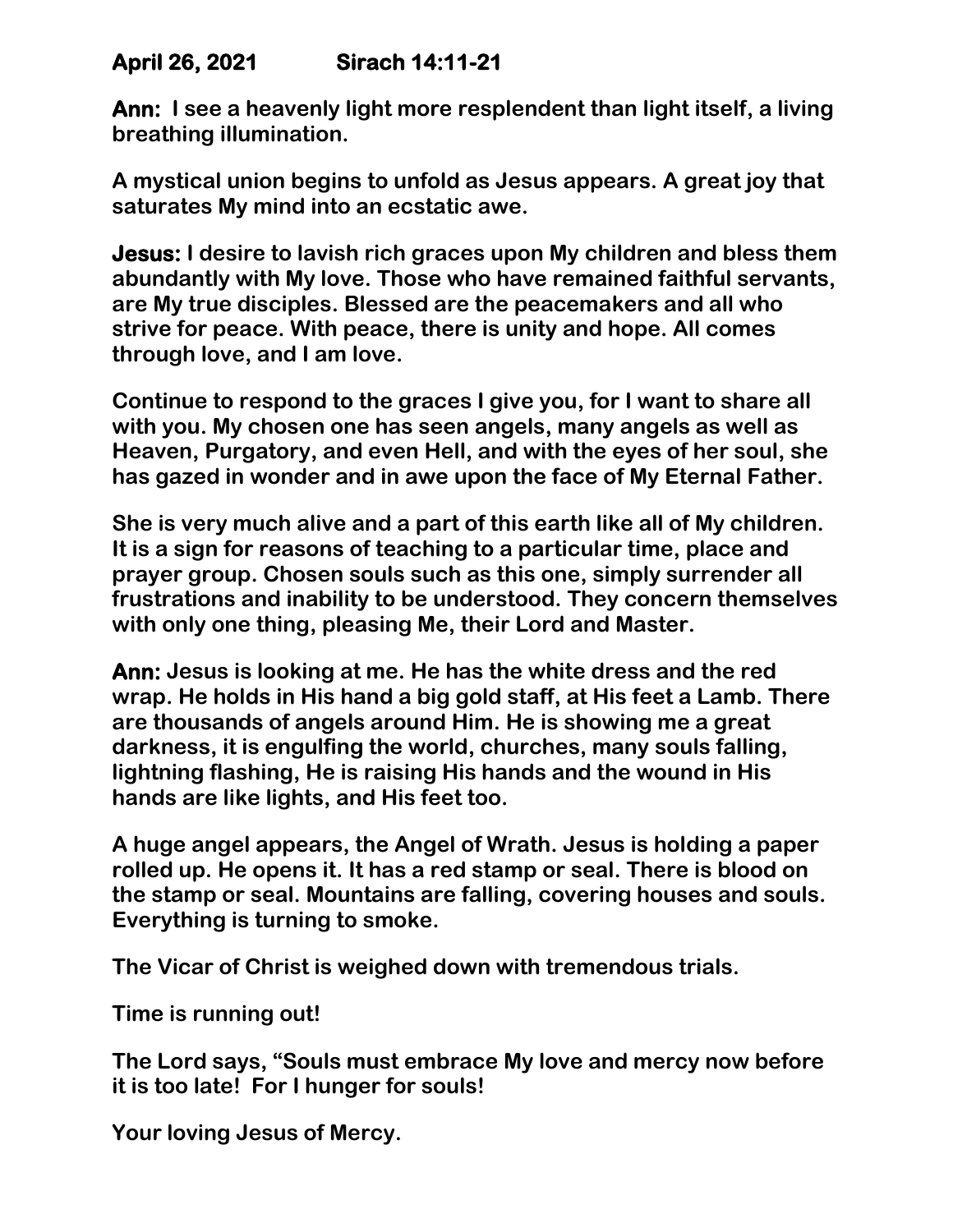## **April 26, 2021 Sirach 14:11-21**

**Ann: I see a heavenly light more resplendent than light itself, a living breathing illumination.** 

**A mystical union begins to unfold as Jesus appears. A great joy that saturates My mind into an ecstatic awe.** 

**Jesus: I desire to lavish rich graces upon My children and bless them abundantly with My love. Those who have remained faithful servants, are My true disciples. Blessed are the peacemakers and all who strive for peace. With peace, there is unity and hope. All comes through love, and I am love.** 

**Continue to respond to the graces I give you, for I want to share all with you. My chosen one has seen angels, many angels as well as Heaven, Purgatory, and even Hell, and with the eyes of her soul, she has gazed in wonder and in awe upon the face of My Eternal Father.** 

**She is very much alive and a part of this earth like all of My children. It is a sign for reasons of teaching to a particular time, place and prayer group. Chosen souls such as this one, simply surrender all frustrations and inability to be understood. They concern themselves with only one thing, pleasing Me, their Lord and Master.**

**Ann: Jesus is looking at me. He has the white dress and the red wrap. He holds in His hand a big gold staff, at His feet a Lamb. There are thousands of angels around Him. He is showing me a great darkness, it is engulfing the world, churches, many souls falling, lightning flashing, He is raising His hands and the wound in His hands are like lights, and His feet too.** 

**A huge angel appears, the Angel of Wrath. Jesus is holding a paper rolled up. He opens it. It has a red stamp or seal. There is blood on the stamp or seal. Mountains are falling, covering houses and souls. Everything is turning to smoke.** 

**The Vicar of Christ is weighed down with tremendous trials.** 

**Time is running out!**

**The Lord says, "Souls must embrace My love and mercy now before it is too late! For I hunger for souls!**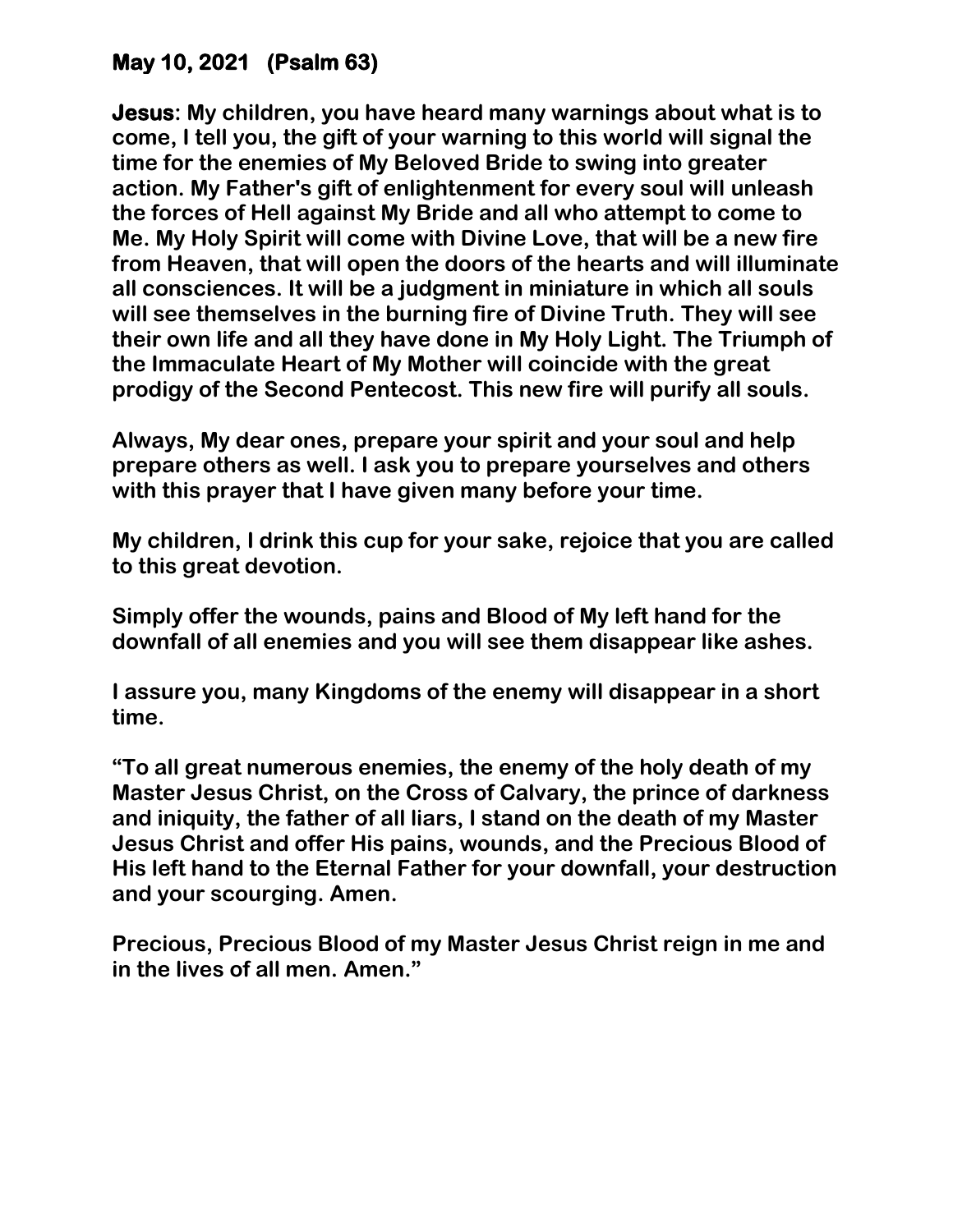# **May 10, 2021 (Psalm 63)**

**Jesus: My children, you have heard many warnings about what is to come, I tell you, the gift of your warning to this world will signal the time for the enemies of My Beloved Bride to swing into greater action. My Father's gift of enlightenment for every soul will unleash the forces of Hell against My Bride and all who attempt to come to Me. My Holy Spirit will come with Divine Love, that will be a new fire from Heaven, that will open the doors of the hearts and will illuminate all consciences. It will be a judgment in miniature in which all souls will see themselves in the burning fire of Divine Truth. They will see their own life and all they have done in My Holy Light. The Triumph of the Immaculate Heart of My Mother will coincide with the great prodigy of the Second Pentecost. This new fire will purify all souls.** 

**Always, My dear ones, prepare your spirit and your soul and help prepare others as well. I ask you to prepare yourselves and others with this prayer that I have given many before your time.** 

**My children, I drink this cup for your sake, rejoice that you are called to this great devotion.** 

**Simply offer the wounds, pains and Blood of My left hand for the downfall of all enemies and you will see them disappear like ashes.** 

**I assure you, many Kingdoms of the enemy will disappear in a short time.** 

**"To all great numerous enemies, the enemy of the holy death of my Master Jesus Christ, on the Cross of Calvary, the prince of darkness and iniquity, the father of all liars, I stand on the death of my Master Jesus Christ and offer His pains, wounds, and the Precious Blood of His left hand to the Eternal Father for your downfall, your destruction and your scourging. Amen.**

**Precious, Precious Blood of my Master Jesus Christ reign in me and in the lives of all men. Amen."**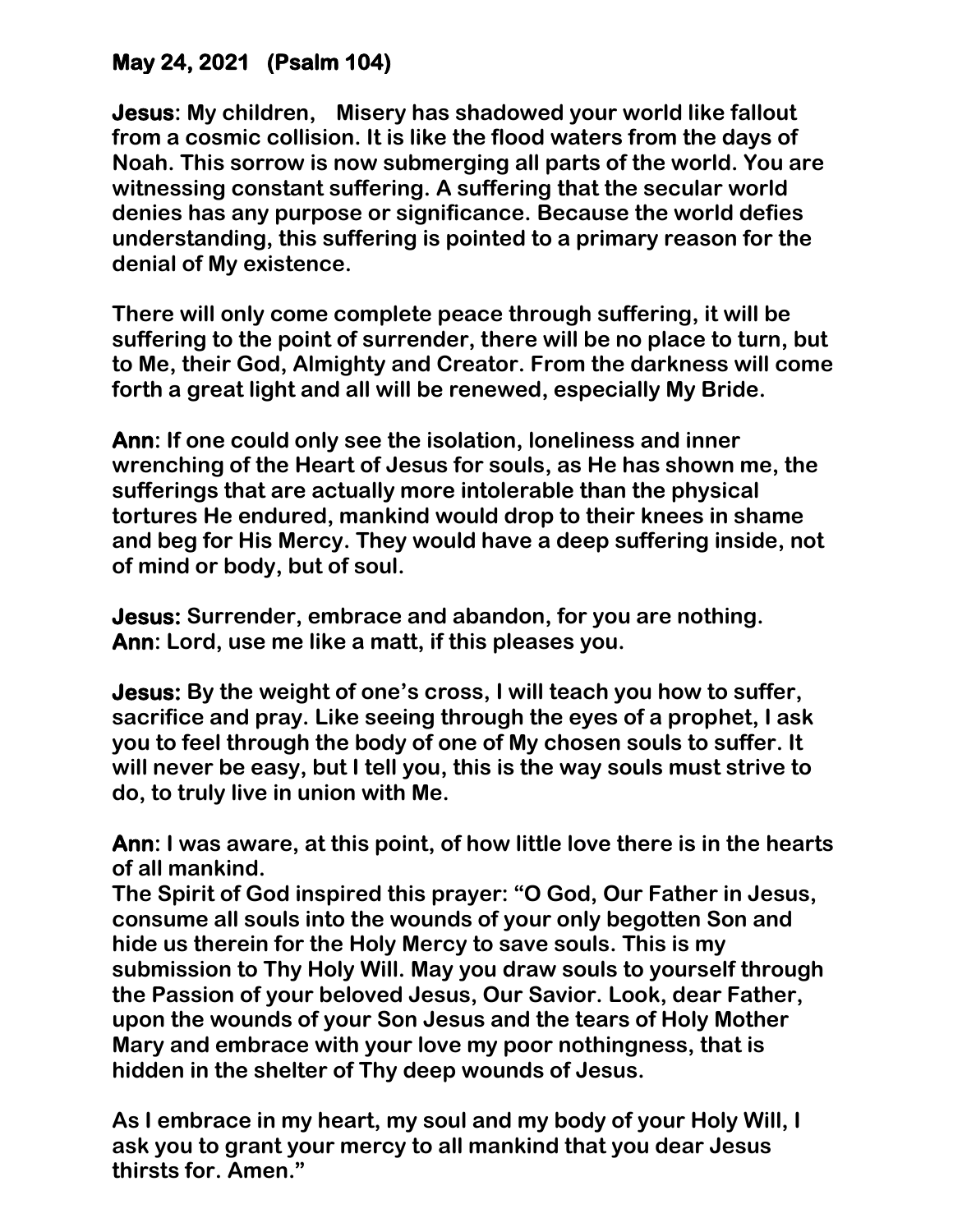# **May 24, 2021 (Psalm 104)**

**Jesus: My children, Misery has shadowed your world like fallout from a cosmic collision. It is like the flood waters from the days of Noah. This sorrow is now submerging all parts of the world. You are witnessing constant suffering. A suffering that the secular world denies has any purpose or significance. Because the world defies understanding, this suffering is pointed to a primary reason for the denial of My existence.** 

**There will only come complete peace through suffering, it will be suffering to the point of surrender, there will be no place to turn, but to Me, their God, Almighty and Creator. From the darkness will come forth a great light and all will be renewed, especially My Bride.**

**Ann: If one could only see the isolation, loneliness and inner wrenching of the Heart of Jesus for souls, as He has shown me, the sufferings that are actually more intolerable than the physical tortures He endured, mankind would drop to their knees in shame and beg for His Mercy. They would have a deep suffering inside, not of mind or body, but of soul.** 

**Jesus: Surrender, embrace and abandon, for you are nothing. Ann: Lord, use me like a matt, if this pleases you.**

**Jesus: By the weight of one's cross, I will teach you how to suffer, sacrifice and pray. Like seeing through the eyes of a prophet, I ask you to feel through the body of one of My chosen souls to suffer. It will never be easy, but I tell you, this is the way souls must strive to do, to truly live in union with Me.**

**Ann: I was aware, at this point, of how little love there is in the hearts of all mankind.**

**The Spirit of God inspired this prayer: "O God, Our Father in Jesus, consume all souls into the wounds of your only begotten Son and hide us therein for the Holy Mercy to save souls. This is my submission to Thy Holy Will. May you draw souls to yourself through the Passion of your beloved Jesus, Our Savior. Look, dear Father, upon the wounds of your Son Jesus and the tears of Holy Mother Mary and embrace with your love my poor nothingness, that is hidden in the shelter of Thy deep wounds of Jesus.**

**As I embrace in my heart, my soul and my body of your Holy Will, I ask you to grant your mercy to all mankind that you dear Jesus thirsts for. Amen."**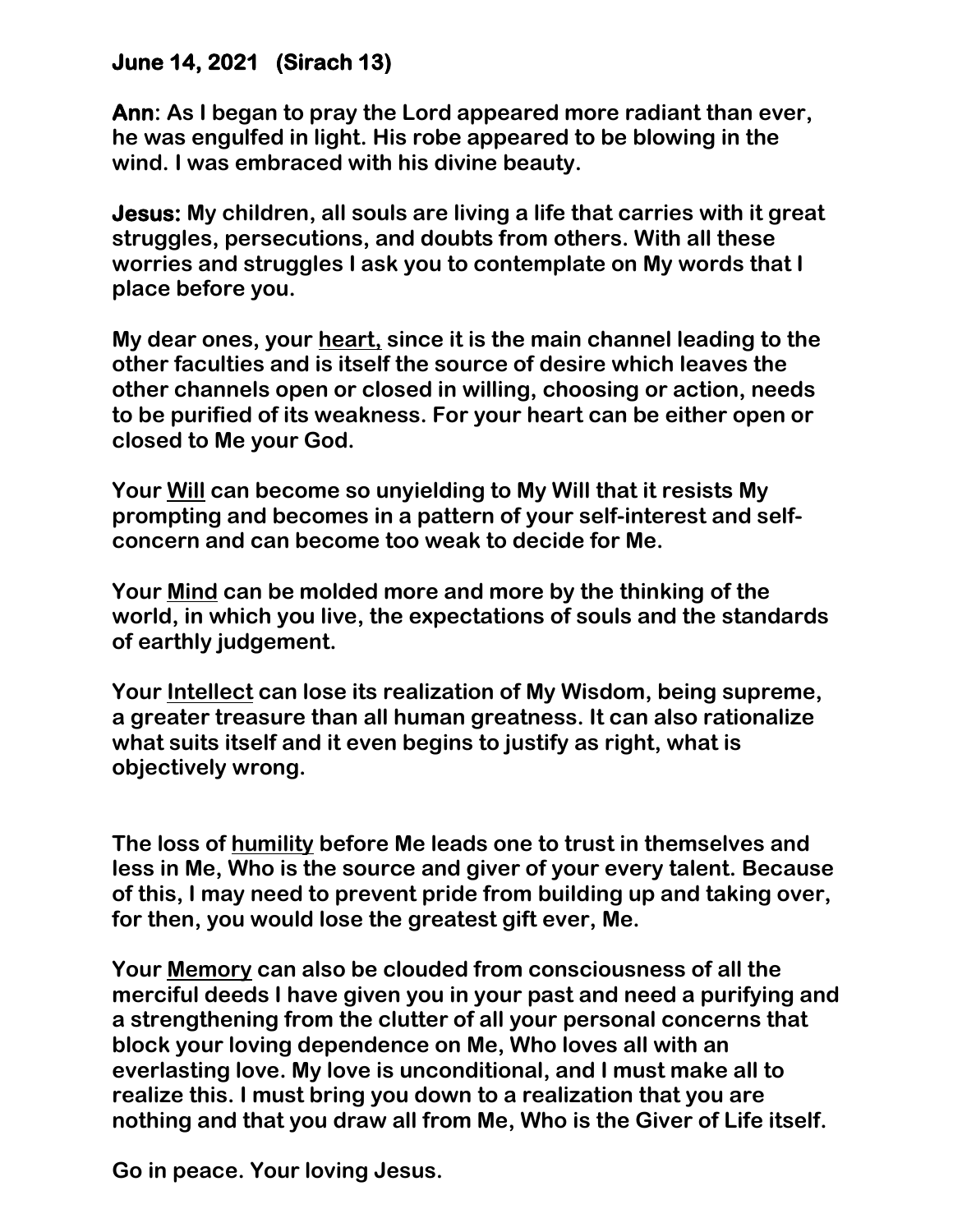## **June 14, 2021 (Sirach 13)**

**Ann: As I began to pray the Lord appeared more radiant than ever, he was engulfed in light. His robe appeared to be blowing in the wind. I was embraced with his divine beauty.** 

**Jesus: My children, all souls are living a life that carries with it great struggles, persecutions, and doubts from others. With all these worries and struggles I ask you to contemplate on My words that I place before you.** 

**My dear ones, your heart, since it is the main channel leading to the other faculties and is itself the source of desire which leaves the other channels open or closed in willing, choosing or action, needs to be purified of its weakness. For your heart can be either open or closed to Me your God.** 

**Your Will can become so unyielding to My Will that it resists My prompting and becomes in a pattern of your self-interest and selfconcern and can become too weak to decide for Me.** 

**Your Mind can be molded more and more by the thinking of the world, in which you live, the expectations of souls and the standards of earthly judgement.** 

**Your Intellect can lose its realization of My Wisdom, being supreme, a greater treasure than all human greatness. It can also rationalize what suits itself and it even begins to justify as right, what is objectively wrong.** 

**The loss of humility before Me leads one to trust in themselves and less in Me, Who is the source and giver of your every talent. Because of this, I may need to prevent pride from building up and taking over, for then, you would lose the greatest gift ever, Me.** 

**Your Memory can also be clouded from consciousness of all the merciful deeds I have given you in your past and need a purifying and a strengthening from the clutter of all your personal concerns that block your loving dependence on Me, Who loves all with an everlasting love. My love is unconditional, and I must make all to realize this. I must bring you down to a realization that you are nothing and that you draw all from Me, Who is the Giver of Life itself.** 

**Go in peace. Your loving Jesus.**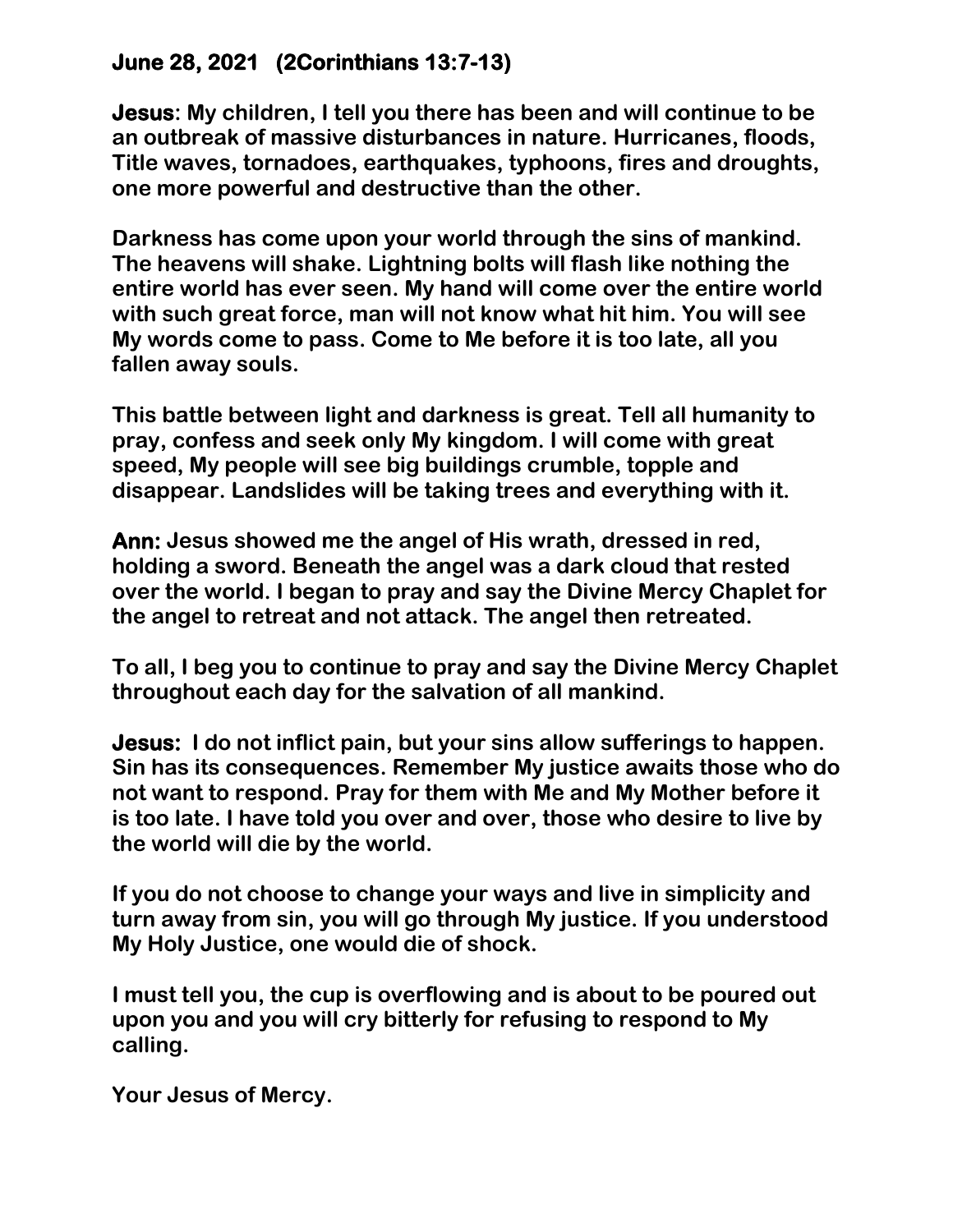## **June 28, 2021 (2Corinthians 13:7-13)**

**Jesus: My children, I tell you there has been and will continue to be an outbreak of massive disturbances in nature. Hurricanes, floods, Title waves, tornadoes, earthquakes, typhoons, fires and droughts, one more powerful and destructive than the other.**

**Darkness has come upon your world through the sins of mankind. The heavens will shake. Lightning bolts will flash like nothing the entire world has ever seen. My hand will come over the entire world with such great force, man will not know what hit him. You will see My words come to pass. Come to Me before it is too late, all you fallen away souls.**

**This battle between light and darkness is great. Tell all humanity to pray, confess and seek only My kingdom. I will come with great speed, My people will see big buildings crumble, topple and disappear. Landslides will be taking trees and everything with it.**

**Ann: Jesus showed me the angel of His wrath, dressed in red, holding a sword. Beneath the angel was a dark cloud that rested over the world. I began to pray and say the Divine Mercy Chaplet for the angel to retreat and not attack. The angel then retreated.**

**To all, I beg you to continue to pray and say the Divine Mercy Chaplet throughout each day for the salvation of all mankind.**

**Jesus: I do not inflict pain, but your sins allow sufferings to happen. Sin has its consequences. Remember My justice awaits those who do not want to respond. Pray for them with Me and My Mother before it is too late. I have told you over and over, those who desire to live by the world will die by the world.**

**If you do not choose to change your ways and live in simplicity and turn away from sin, you will go through My justice. If you understood My Holy Justice, one would die of shock.**

**I must tell you, the cup is overflowing and is about to be poured out upon you and you will cry bitterly for refusing to respond to My calling.**

**Your Jesus of Mercy.**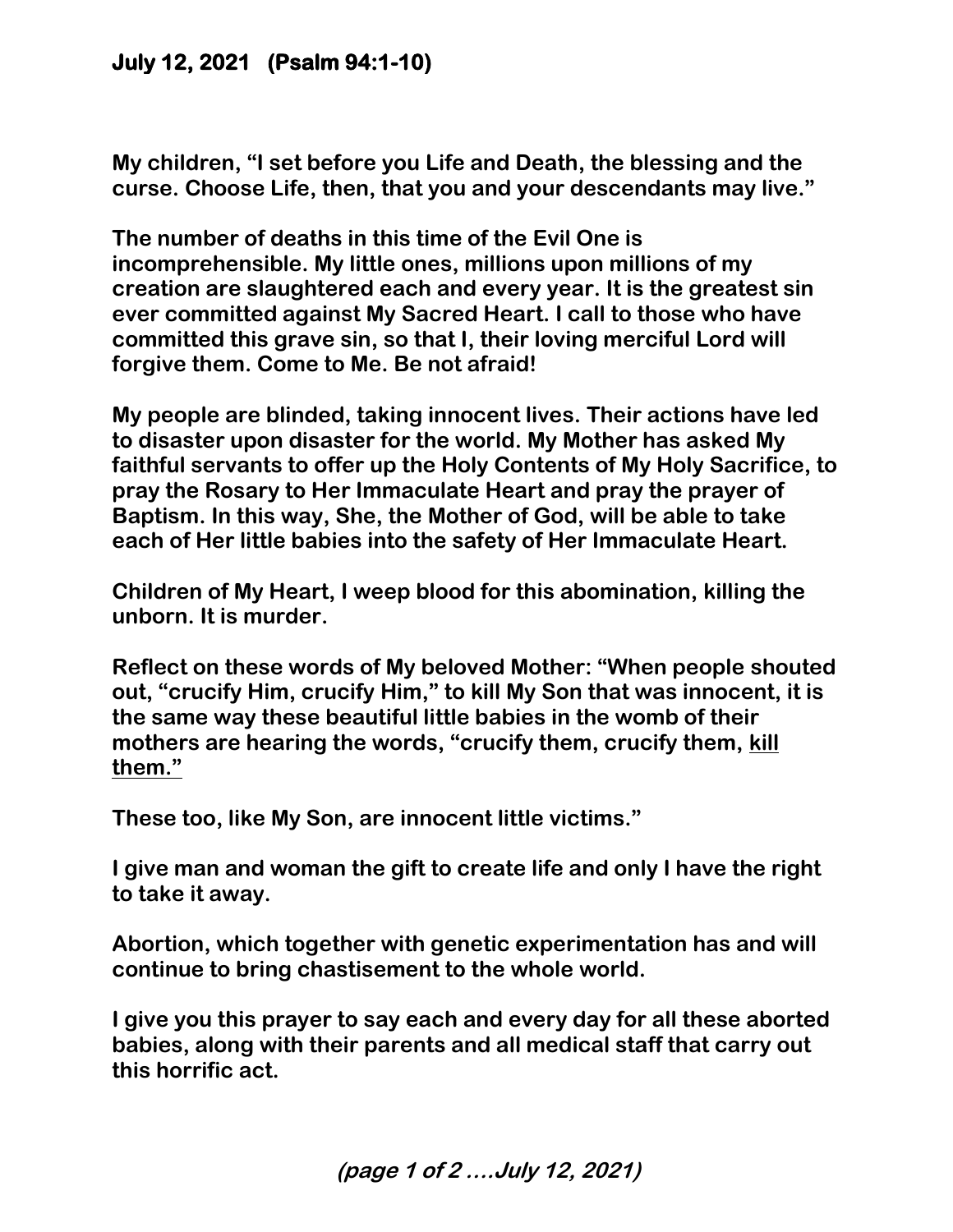## **July 12, 2021 (Psalm 94:1-10)**

**My children, "I set before you Life and Death, the blessing and the curse. Choose Life, then, that you and your descendants may live."** 

**The number of deaths in this time of the Evil One is incomprehensible. My little ones, millions upon millions of my creation are slaughtered each and every year. It is the greatest sin ever committed against My Sacred Heart. I call to those who have committed this grave sin, so that I, their loving merciful Lord will forgive them. Come to Me. Be not afraid!** 

**My people are blinded, taking innocent lives. Their actions have led to disaster upon disaster for the world. My Mother has asked My faithful servants to offer up the Holy Contents of My Holy Sacrifice, to pray the Rosary to Her Immaculate Heart and pray the prayer of Baptism. In this way, She, the Mother of God, will be able to take each of Her little babies into the safety of Her Immaculate Heart.** 

**Children of My Heart, I weep blood for this abomination, killing the unborn. It is murder.** 

**Reflect on these words of My beloved Mother: "When people shouted out, "crucify Him, crucify Him," to kill My Son that was innocent, it is the same way these beautiful little babies in the womb of their mothers are hearing the words, "crucify them, crucify them, kill them."**

**These too, like My Son, are innocent little victims."** 

**I give man and woman the gift to create life and only I have the right to take it away.** 

**Abortion, which together with genetic experimentation has and will continue to bring chastisement to the whole world.** 

**I give you this prayer to say each and every day for all these aborted babies, along with their parents and all medical staff that carry out this horrific act.** 

**(page 1 of 2 ….July 12, 2021)**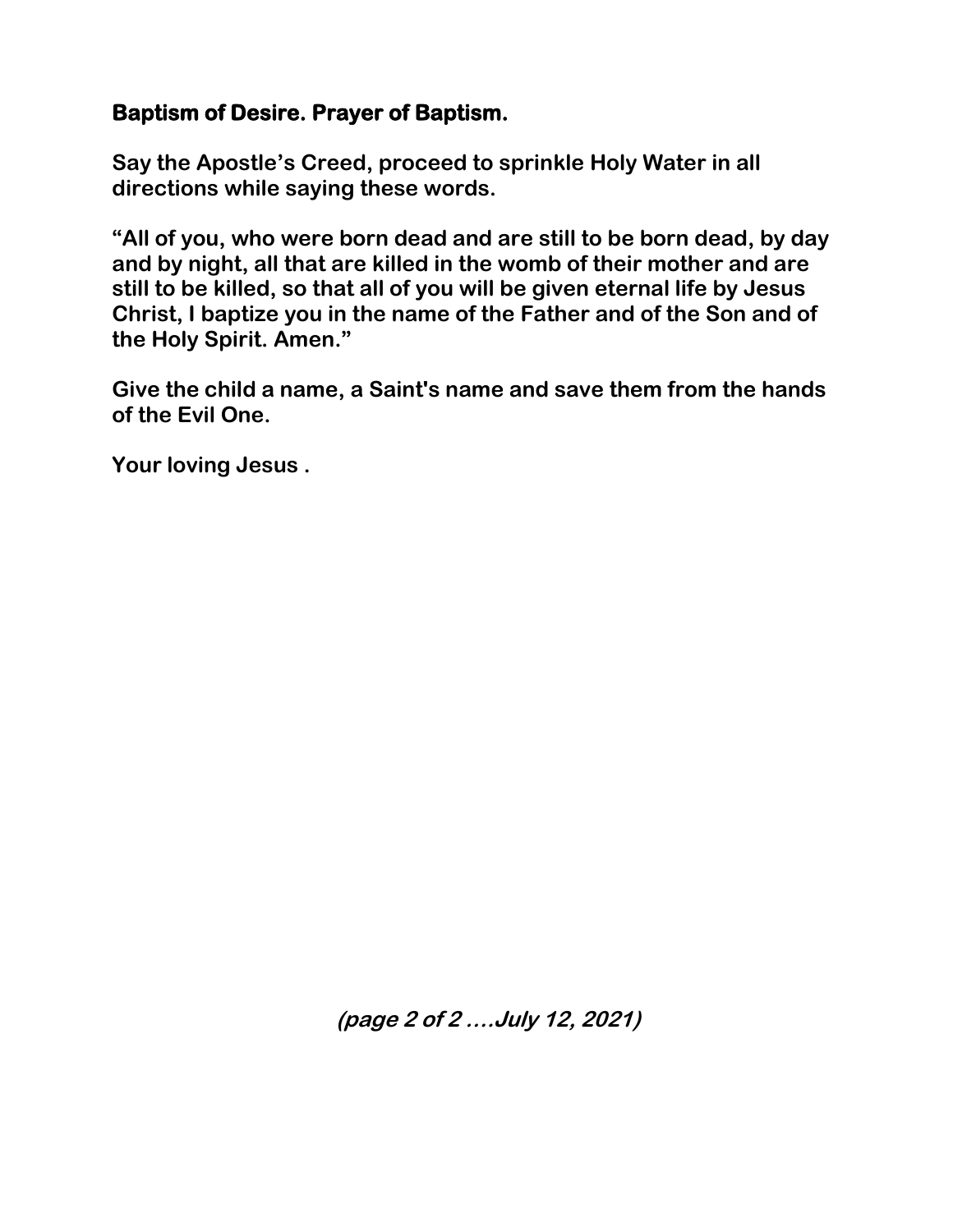## **Baptism of Desire. Prayer of Baptism.**

**Say the Apostle's Creed, proceed to sprinkle Holy Water in all directions while saying these words.** 

**"All of you, who were born dead and are still to be born dead, by day and by night, all that are killed in the womb of their mother and are still to be killed, so that all of you will be given eternal life by Jesus Christ, I baptize you in the name of the Father and of the Son and of the Holy Spirit. Amen."** 

**Give the child a name, a Saint's name and save them from the hands of the Evil One.**

**Your loving Jesus .**

**(page 2 of 2 ….July 12, 2021)**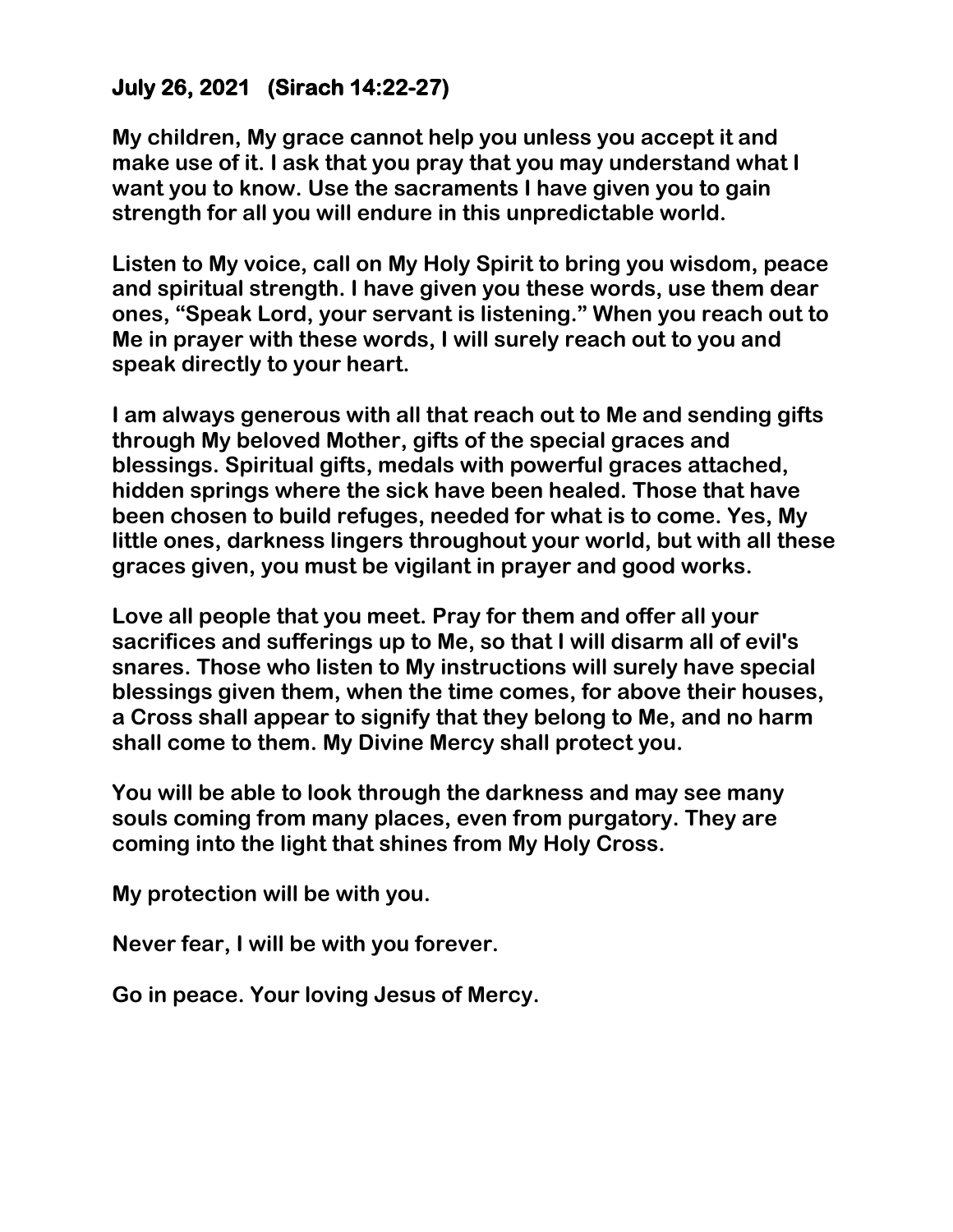# **July 26, 2021 (Sirach 14:22-27)**

**My children, My grace cannot help you unless you accept it and make use of it. I ask that you pray that you may understand what I want you to know. Use the sacraments I have given you to gain strength for all you will endure in this unpredictable world.** 

**Listen to My voice, call on My Holy Spirit to bring you wisdom, peace and spiritual strength. I have given you these words, use them dear ones, "Speak Lord, your servant is listening." When you reach out to Me in prayer with these words, I will surely reach out to you and speak directly to your heart.** 

**I am always generous with all that reach out to Me and sending gifts through My beloved Mother, gifts of the special graces and blessings. Spiritual gifts, medals with powerful graces attached, hidden springs where the sick have been healed. Those that have been chosen to build refuges, needed for what is to come. Yes, My little ones, darkness lingers throughout your world, but with all these graces given, you must be vigilant in prayer and good works.** 

**Love all people that you meet. Pray for them and offer all your sacrifices and sufferings up to Me, so that I will disarm all of evil's snares. Those who listen to My instructions will surely have special blessings given them, when the time comes, for above their houses, a Cross shall appear to signify that they belong to Me, and no harm shall come to them. My Divine Mercy shall protect you.** 

**You will be able to look through the darkness and may see many souls coming from many places, even from purgatory. They are coming into the light that shines from My Holy Cross.**

**My protection will be with you.** 

**Never fear, I will be with you forever.** 

**Go in peace. Your loving Jesus of Mercy.**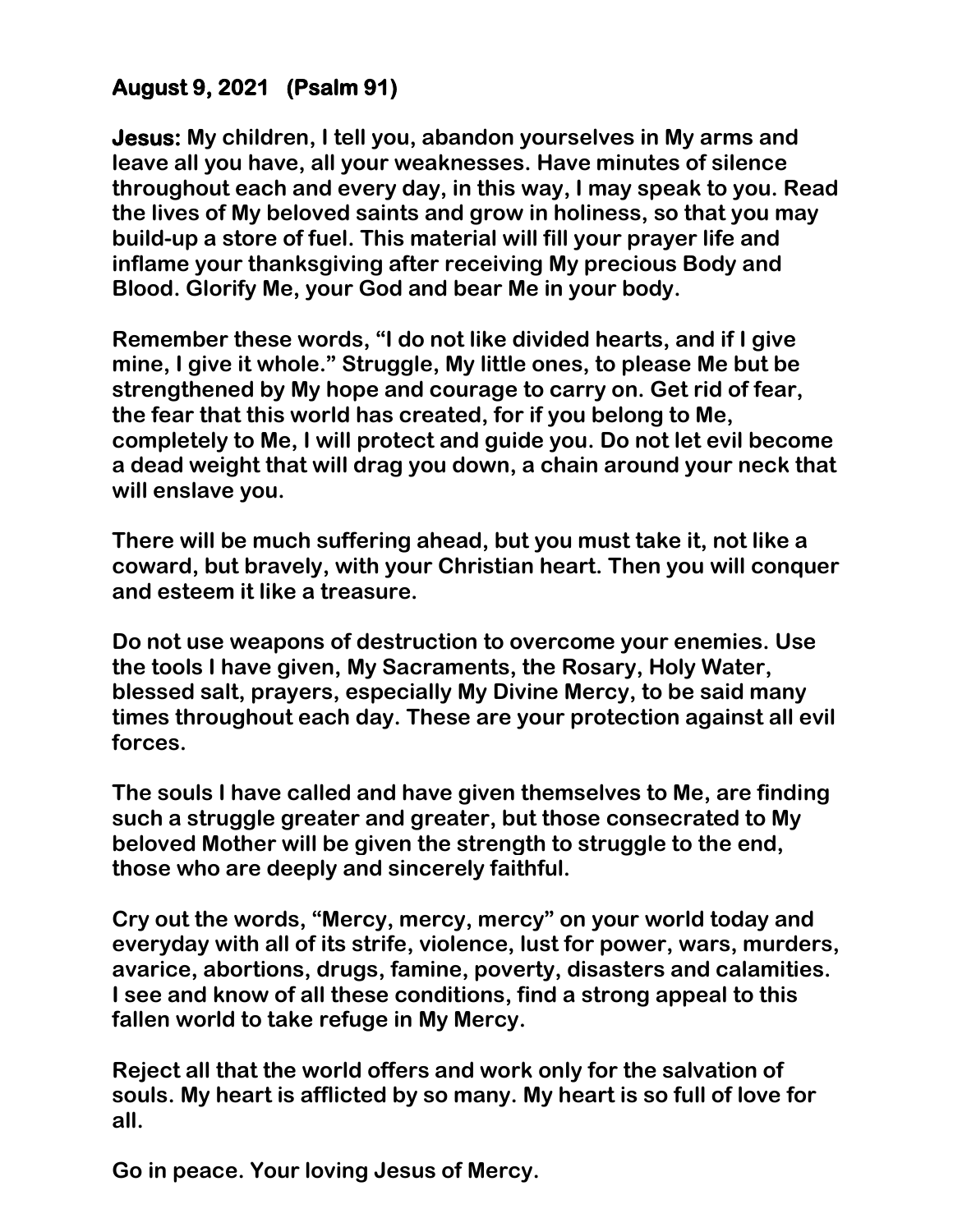# **August 9, 2021 (Psalm 91)**

**Jesus: My children, I tell you, abandon yourselves in My arms and leave all you have, all your weaknesses. Have minutes of silence throughout each and every day, in this way, I may speak to you. Read the lives of My beloved saints and grow in holiness, so that you may build-up a store of fuel. This material will fill your prayer life and inflame your thanksgiving after receiving My precious Body and Blood. Glorify Me, your God and bear Me in your body.** 

**Remember these words, "I do not like divided hearts, and if I give mine, I give it whole." Struggle, My little ones, to please Me but be strengthened by My hope and courage to carry on. Get rid of fear, the fear that this world has created, for if you belong to Me, completely to Me, I will protect and guide you. Do not let evil become a dead weight that will drag you down, a chain around your neck that will enslave you.** 

**There will be much suffering ahead, but you must take it, not like a coward, but bravely, with your Christian heart. Then you will conquer and esteem it like a treasure.** 

**Do not use weapons of destruction to overcome your enemies. Use the tools I have given, My Sacraments, the Rosary, Holy Water, blessed salt, prayers, especially My Divine Mercy, to be said many times throughout each day. These are your protection against all evil forces.** 

**The souls I have called and have given themselves to Me, are finding such a struggle greater and greater, but those consecrated to My beloved Mother will be given the strength to struggle to the end, those who are deeply and sincerely faithful.**

**Cry out the words, "Mercy, mercy, mercy" on your world today and everyday with all of its strife, violence, lust for power, wars, murders, avarice, abortions, drugs, famine, poverty, disasters and calamities. I see and know of all these conditions, find a strong appeal to this fallen world to take refuge in My Mercy.** 

**Reject all that the world offers and work only for the salvation of souls. My heart is afflicted by so many. My heart is so full of love for all.** 

**Go in peace. Your loving Jesus of Mercy.**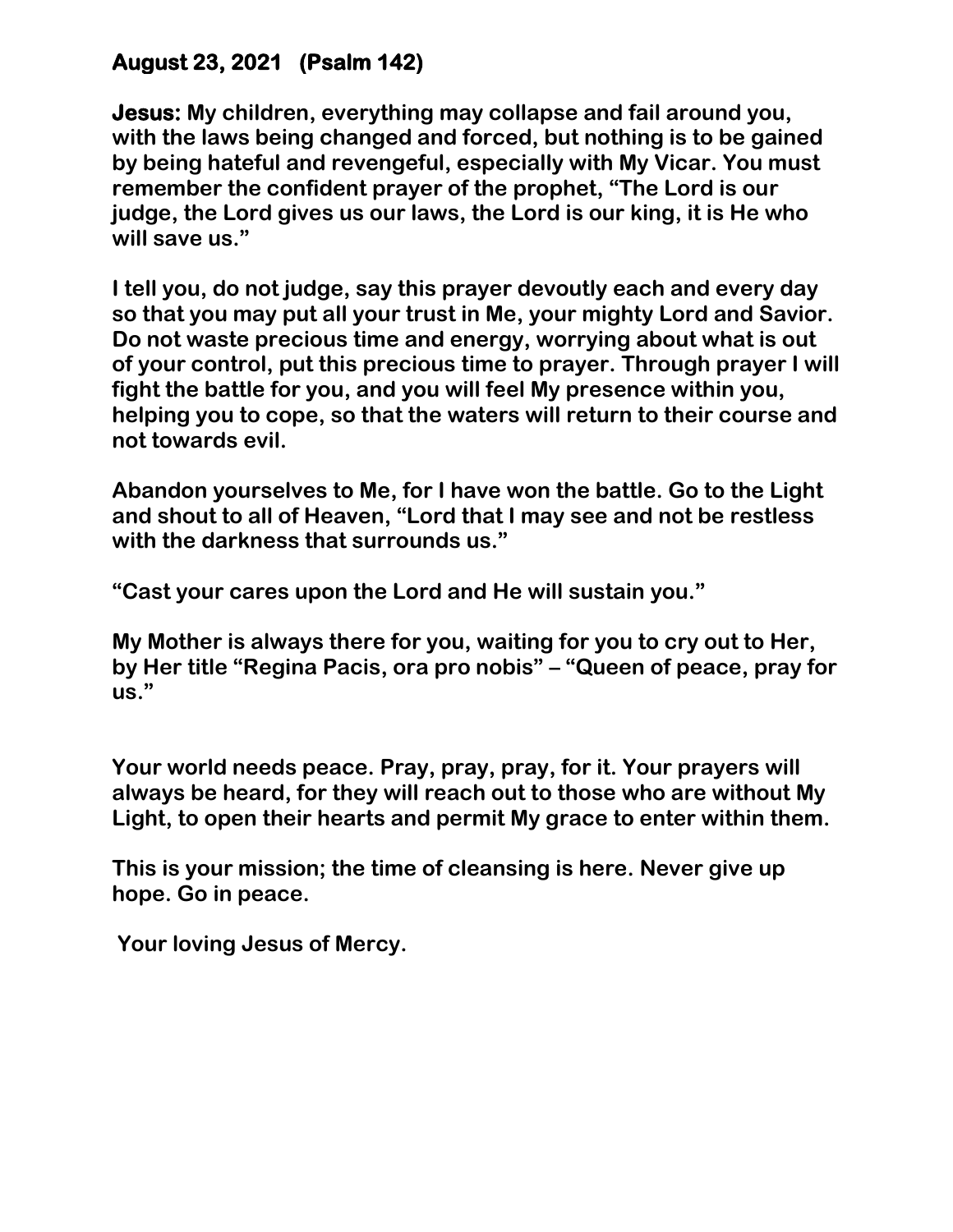## **August 23, 2021 (Psalm 142)**

**Jesus: My children, everything may collapse and fail around you, with the laws being changed and forced, but nothing is to be gained by being hateful and revengeful, especially with My Vicar. You must remember the confident prayer of the prophet, "The Lord is our judge, the Lord gives us our laws, the Lord is our king, it is He who will save us."**

**I tell you, do not judge, say this prayer devoutly each and every day so that you may put all your trust in Me, your mighty Lord and Savior. Do not waste precious time and energy, worrying about what is out of your control, put this precious time to prayer. Through prayer I will fight the battle for you, and you will feel My presence within you, helping you to cope, so that the waters will return to their course and not towards evil.** 

**Abandon yourselves to Me, for I have won the battle. Go to the Light and shout to all of Heaven, "Lord that I may see and not be restless with the darkness that surrounds us."** 

**"Cast your cares upon the Lord and He will sustain you."** 

**My Mother is always there for you, waiting for you to cry out to Her, by Her title "Regina Pacis, ora pro nobis" – "Queen of peace, pray for us."** 

**Your world needs peace. Pray, pray, pray, for it. Your prayers will always be heard, for they will reach out to those who are without My Light, to open their hearts and permit My grace to enter within them.** 

**This is your mission; the time of cleansing is here. Never give up hope. Go in peace.**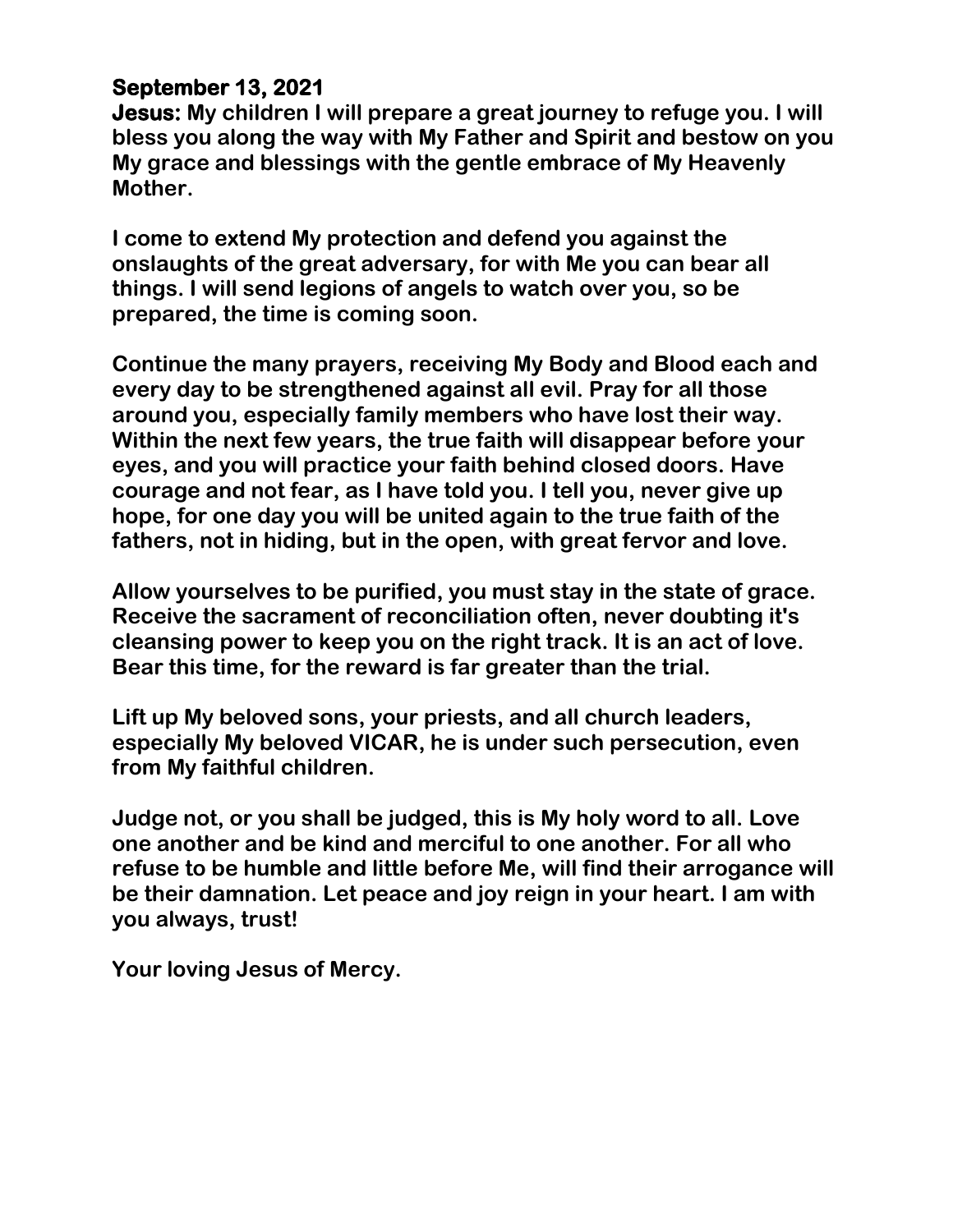# **September 13, 2021**

**Jesus: My children I will prepare a great journey to refuge you. I will bless you along the way with My Father and Spirit and bestow on you My grace and blessings with the gentle embrace of My Heavenly Mother.** 

**I come to extend My protection and defend you against the onslaughts of the great adversary, for with Me you can bear all things. I will send legions of angels to watch over you, so be prepared, the time is coming soon.** 

**Continue the many prayers, receiving My Body and Blood each and every day to be strengthened against all evil. Pray for all those around you, especially family members who have lost their way. Within the next few years, the true faith will disappear before your eyes, and you will practice your faith behind closed doors. Have courage and not fear, as I have told you. I tell you, never give up hope, for one day you will be united again to the true faith of the fathers, not in hiding, but in the open, with great fervor and love.** 

**Allow yourselves to be purified, you must stay in the state of grace. Receive the sacrament of reconciliation often, never doubting it's cleansing power to keep you on the right track. It is an act of love. Bear this time, for the reward is far greater than the trial.** 

**Lift up My beloved sons, your priests, and all church leaders, especially My beloved VICAR, he is under such persecution, even from My faithful children.** 

**Judge not, or you shall be judged, this is My holy word to all. Love one another and be kind and merciful to one another. For all who refuse to be humble and little before Me, will find their arrogance will be their damnation. Let peace and joy reign in your heart. I am with you always, trust!**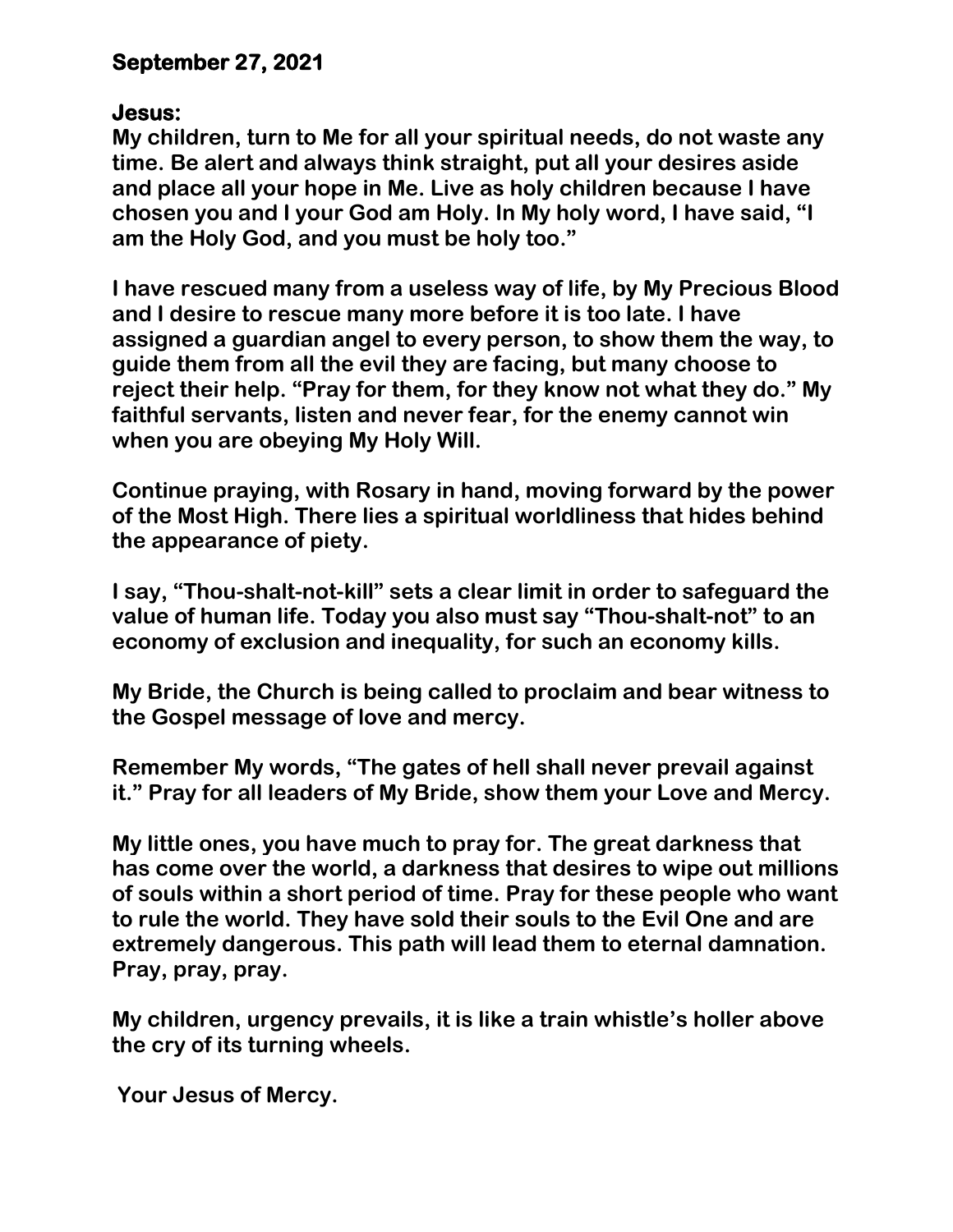## **September 27, 2021**

#### **Jesus:**

**My children, turn to Me for all your spiritual needs, do not waste any time. Be alert and always think straight, put all your desires aside and place all your hope in Me. Live as holy children because I have chosen you and I your God am Holy. In My holy word, I have said, "I am the Holy God, and you must be holy too."** 

**I have rescued many from a useless way of life, by My Precious Blood and I desire to rescue many more before it is too late. I have assigned a guardian angel to every person, to show them the way, to guide them from all the evil they are facing, but many choose to reject their help. "Pray for them, for they know not what they do." My faithful servants, listen and never fear, for the enemy cannot win when you are obeying My Holy Will.** 

**Continue praying, with Rosary in hand, moving forward by the power of the Most High. There lies a spiritual worldliness that hides behind the appearance of piety.** 

**I say, "Thou-shalt-not-kill" sets a clear limit in order to safeguard the value of human life. Today you also must say "Thou-shalt-not" to an economy of exclusion and inequality, for such an economy kills.** 

**My Bride, the Church is being called to proclaim and bear witness to the Gospel message of love and mercy.** 

**Remember My words, "The gates of hell shall never prevail against it." Pray for all leaders of My Bride, show them your Love and Mercy.**

**My little ones, you have much to pray for. The great darkness that has come over the world, a darkness that desires to wipe out millions of souls within a short period of time. Pray for these people who want to rule the world. They have sold their souls to the Evil One and are extremely dangerous. This path will lead them to eternal damnation. Pray, pray, pray.** 

**My children, urgency prevails, it is like a train whistle's holler above the cry of its turning wheels.**

**Your Jesus of Mercy.**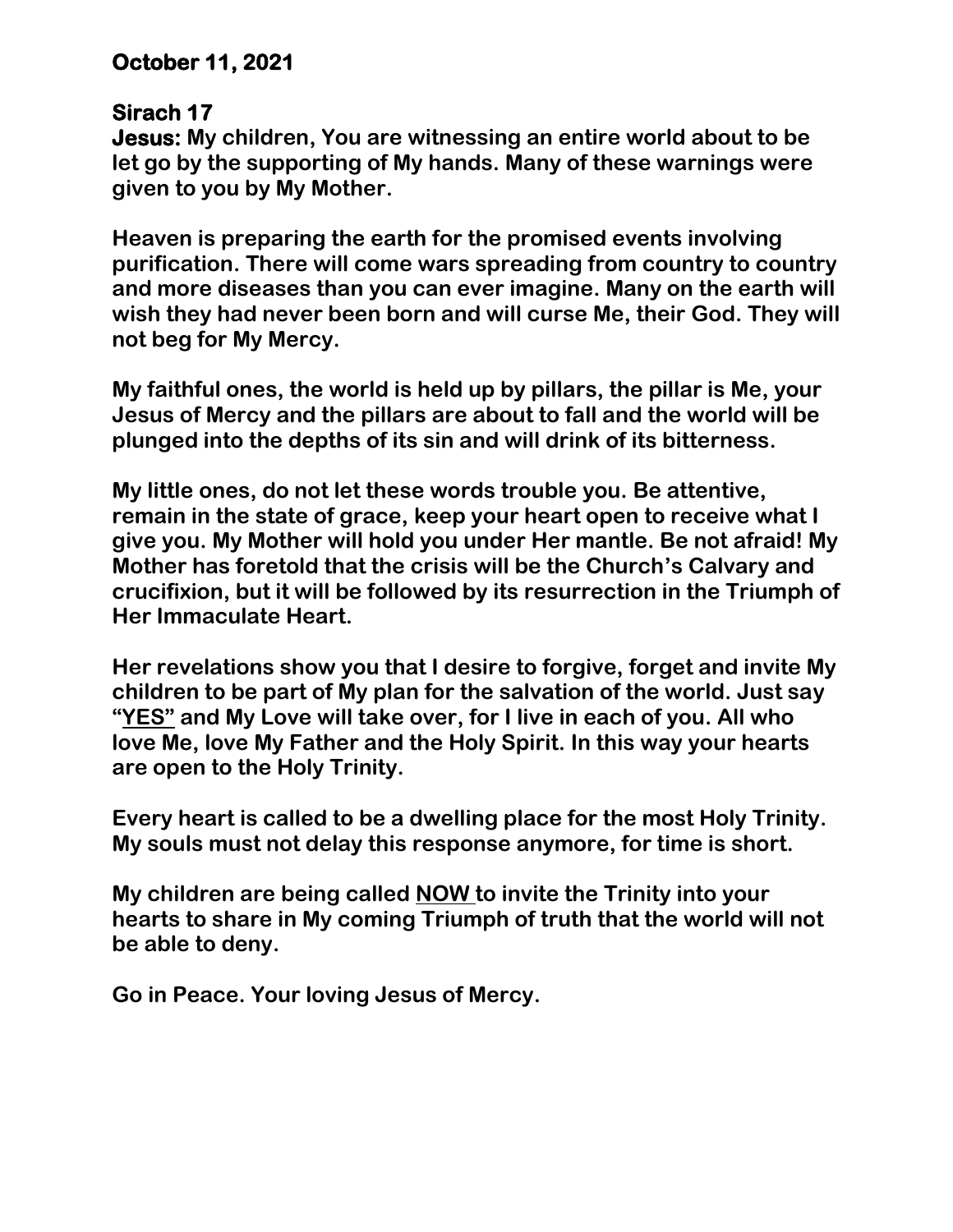# **October 11, 2021**

#### **Sirach 17**

**Jesus: My children, You are witnessing an entire world about to be let go by the supporting of My hands. Many of these warnings were given to you by My Mother.** 

**Heaven is preparing the earth for the promised events involving purification. There will come wars spreading from country to country and more diseases than you can ever imagine. Many on the earth will wish they had never been born and will curse Me, their God. They will not beg for My Mercy.**

**My faithful ones, the world is held up by pillars, the pillar is Me, your Jesus of Mercy and the pillars are about to fall and the world will be plunged into the depths of its sin and will drink of its bitterness.**

**My little ones, do not let these words trouble you. Be attentive, remain in the state of grace, keep your heart open to receive what I give you. My Mother will hold you under Her mantle. Be not afraid! My Mother has foretold that the crisis will be the Church's Calvary and crucifixion, but it will be followed by its resurrection in the Triumph of Her Immaculate Heart.** 

**Her revelations show you that I desire to forgive, forget and invite My children to be part of My plan for the salvation of the world. Just say "YES" and My Love will take over, for I live in each of you. All who love Me, love My Father and the Holy Spirit. In this way your hearts are open to the Holy Trinity.** 

**Every heart is called to be a dwelling place for the most Holy Trinity. My souls must not delay this response anymore, for time is short.** 

**My children are being called NOW to invite the Trinity into your hearts to share in My coming Triumph of truth that the world will not be able to deny.**

**Go in Peace. Your loving Jesus of Mercy.**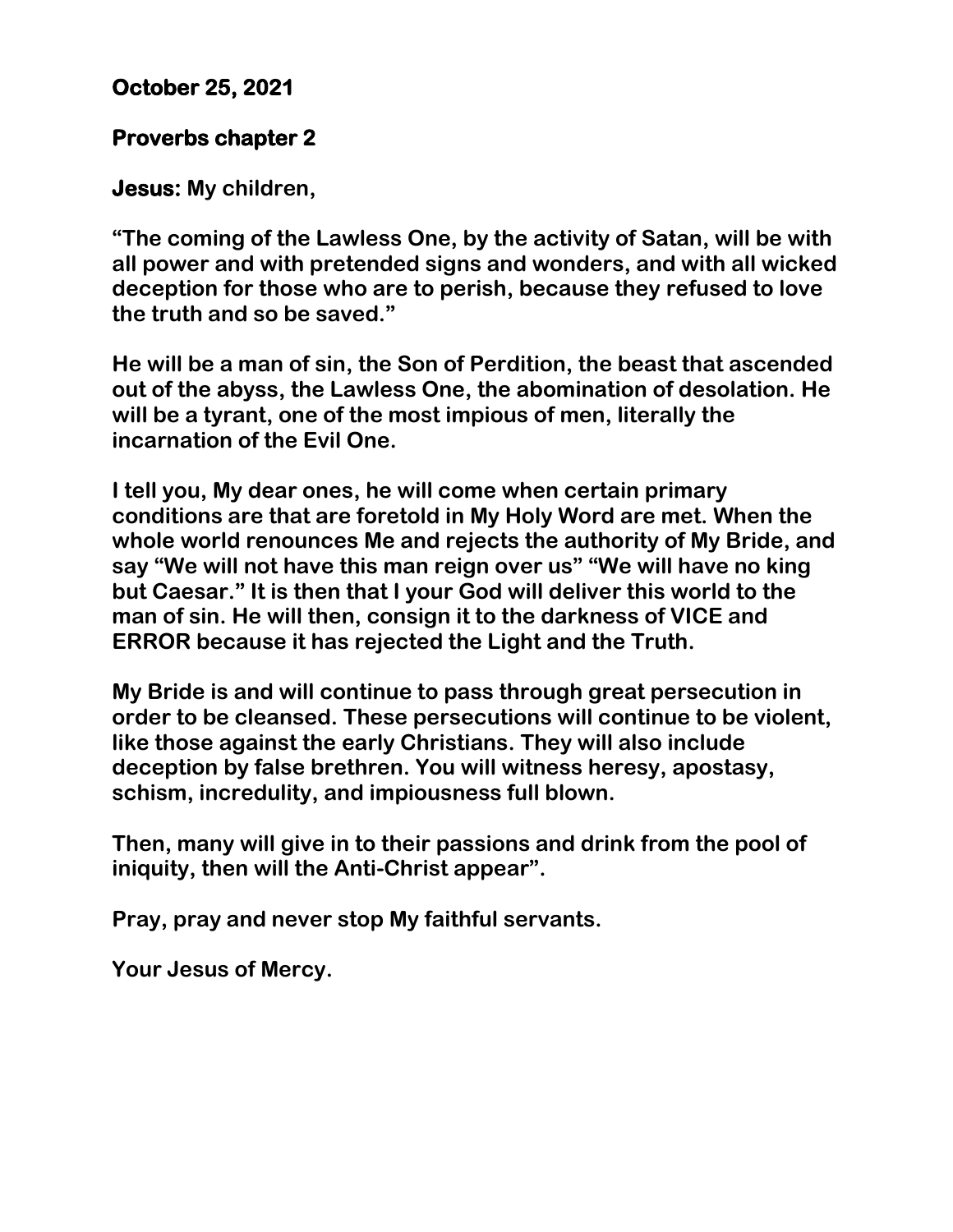# **October 25, 2021**

## **Proverbs chapter 2**

**Jesus: My children,** 

**"The coming of the Lawless One, by the activity of Satan, will be with all power and with pretended signs and wonders, and with all wicked deception for those who are to perish, because they refused to love the truth and so be saved."**

**He will be a man of sin, the Son of Perdition, the beast that ascended out of the abyss, the Lawless One, the abomination of desolation. He will be a tyrant, one of the most impious of men, literally the incarnation of the Evil One.**

**I tell you, My dear ones, he will come when certain primary conditions are that are foretold in My Holy Word are met. When the whole world renounces Me and rejects the authority of My Bride, and say "We will not have this man reign over us" "We will have no king but Caesar." It is then that I your God will deliver this world to the man of sin. He will then, consign it to the darkness of VICE and ERROR because it has rejected the Light and the Truth.** 

**My Bride is and will continue to pass through great persecution in order to be cleansed. These persecutions will continue to be violent, like those against the early Christians. They will also include deception by false brethren. You will witness heresy, apostasy, schism, incredulity, and impiousness full blown.**

**Then, many will give in to their passions and drink from the pool of iniquity, then will the Anti-Christ appear".**

**Pray, pray and never stop My faithful servants.** 

**Your Jesus of Mercy.**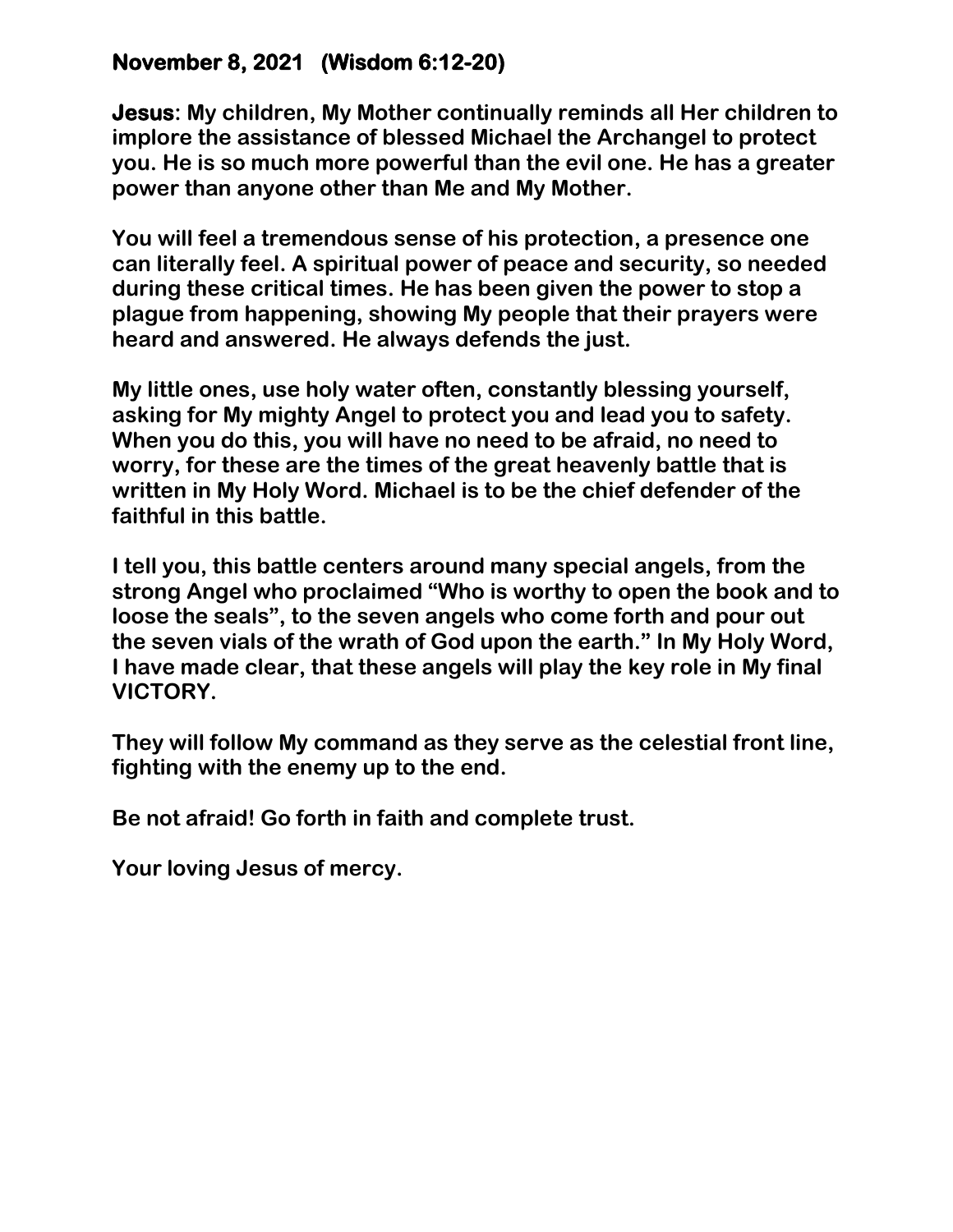# **November 8, 2021 (Wisdom 6:12-20)**

**Jesus: My children, My Mother continually reminds all Her children to implore the assistance of blessed Michael the Archangel to protect you. He is so much more powerful than the evil one. He has a greater power than anyone other than Me and My Mother.** 

**You will feel a tremendous sense of his protection, a presence one can literally feel. A spiritual power of peace and security, so needed during these critical times. He has been given the power to stop a plague from happening, showing My people that their prayers were heard and answered. He always defends the just.** 

**My little ones, use holy water often, constantly blessing yourself, asking for My mighty Angel to protect you and lead you to safety. When you do this, you will have no need to be afraid, no need to worry, for these are the times of the great heavenly battle that is written in My Holy Word. Michael is to be the chief defender of the faithful in this battle.**

**I tell you, this battle centers around many special angels, from the strong Angel who proclaimed "Who is worthy to open the book and to loose the seals", to the seven angels who come forth and pour out the seven vials of the wrath of God upon the earth." In My Holy Word, I have made clear, that these angels will play the key role in My final VICTORY.** 

**They will follow My command as they serve as the celestial front line, fighting with the enemy up to the end.** 

**Be not afraid! Go forth in faith and complete trust.**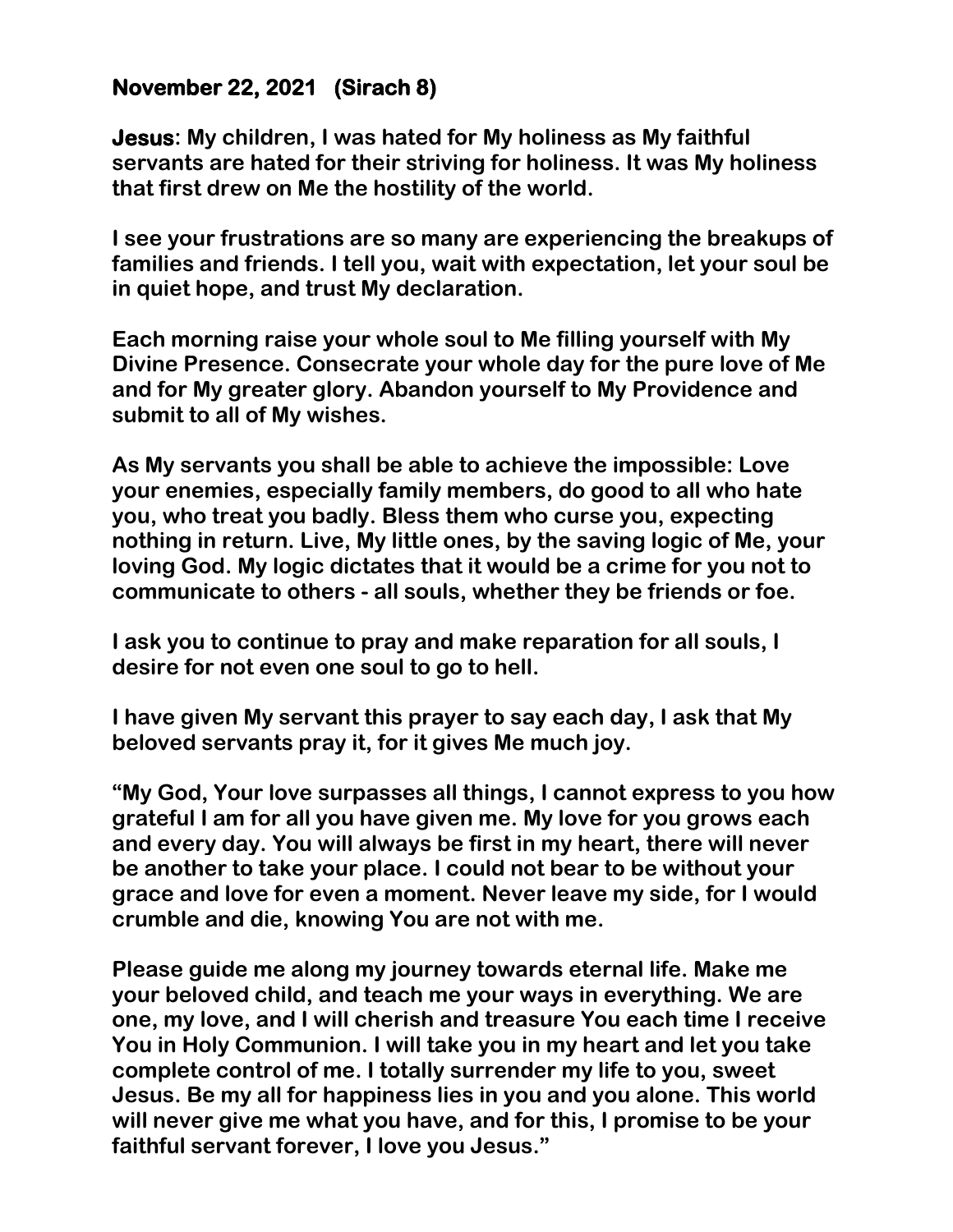## **November 22, 2021 (Sirach 8)**

**Jesus: My children, I was hated for My holiness as My faithful servants are hated for their striving for holiness. It was My holiness that first drew on Me the hostility of the world.** 

**I see your frustrations are so many are experiencing the breakups of families and friends. I tell you, wait with expectation, let your soul be in quiet hope, and trust My declaration.** 

**Each morning raise your whole soul to Me filling yourself with My Divine Presence. Consecrate your whole day for the pure love of Me and for My greater glory. Abandon yourself to My Providence and submit to all of My wishes.** 

**As My servants you shall be able to achieve the impossible: Love your enemies, especially family members, do good to all who hate you, who treat you badly. Bless them who curse you, expecting nothing in return. Live, My little ones, by the saving logic of Me, your loving God. My logic dictates that it would be a crime for you not to communicate to others - all souls, whether they be friends or foe.** 

**I ask you to continue to pray and make reparation for all souls, I desire for not even one soul to go to hell.** 

**I have given My servant this prayer to say each day, I ask that My beloved servants pray it, for it gives Me much joy.** 

**"My God, Your love surpasses all things, I cannot express to you how grateful I am for all you have given me. My love for you grows each and every day. You will always be first in my heart, there will never be another to take your place. I could not bear to be without your grace and love for even a moment. Never leave my side, for I would crumble and die, knowing You are not with me.** 

**Please guide me along my journey towards eternal life. Make me your beloved child, and teach me your ways in everything. We are one, my love, and I will cherish and treasure You each time I receive You in Holy Communion. I will take you in my heart and let you take complete control of me. I totally surrender my life to you, sweet Jesus. Be my all for happiness lies in you and you alone. This world will never give me what you have, and for this, I promise to be your faithful servant forever, I love you Jesus."**